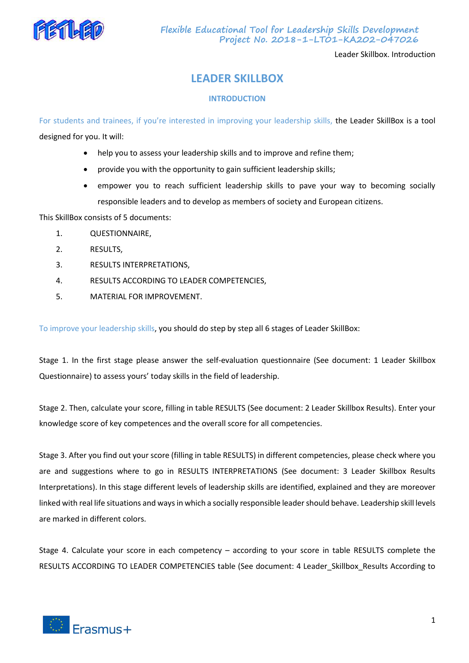

**Flexible Educational Tool for Leadership Skills Development Project No. 2018-1-LT01-KA202-047026**

Leader Skillbox. Introduction

# **LEADER SKILLBOX**

# **INTRODUCTION**

For students and trainees, if you're interested in improving your leadership skills, the Leader SkillBox is a tool designed for you. It will:

- help you to assess your leadership skills and to improve and refine them;
- provide you with the opportunity to gain sufficient leadership skills;
- empower you to reach sufficient leadership skills to pave your way to becoming socially responsible leaders and to develop as members of society and European citizens.

This SkillBox consists of 5 documents:

- 1. QUESTIONNAIRE,
- 2. RESULTS,
- 3. RESULTS INTERPRETATIONS,
- 4. RESULTS ACCORDING TO LEADER COMPETENCIES,
- 5. MATERIAL FOR IMPROVEMENT.

To improve your leadership skills, you should do step by step all 6 stages of Leader SkillBox:

Stage 1. In the first stage please answer the self-evaluation questionnaire (See document: 1 Leader Skillbox Questionnaire) to assess yours' today skills in the field of leadership.

Stage 2. Then, calculate your score, filling in table RESULTS (See document: 2 Leader Skillbox Results). Enter your knowledge score of key competences and the overall score for all competencies.

Stage 3. After you find out your score (filling in table RESULTS) in different competencies, please check where you are and suggestions where to go in RESULTS INTERPRETATIONS (See document: 3 Leader Skillbox Results Interpretations). In this stage different levels of leadership skills are identified, explained and they are moreover linked with real life situations and ways in which a socially responsible leader should behave. Leadership skill levels are marked in different colors.

Stage 4. Calculate your score in each competency – according to your score in table RESULTS complete the RESULTS ACCORDING TO LEADER COMPETENCIES table (See document: 4 Leader Skillbox Results According to

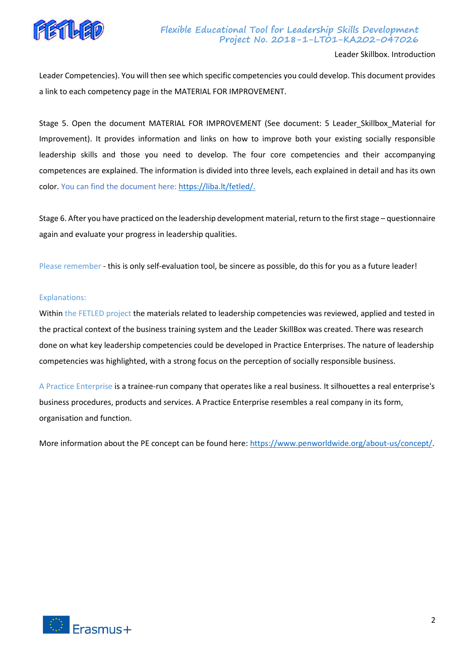

# **Flexible Educational Tool for Leadership Skills Development Project No. 2018-1-LT01-KA202-047026**

Leader Skillbox. Introduction

Leader Competencies). You will then see which specific competencies you could develop. This document provides a link to each competency page in the MATERIAL FOR IMPROVEMENT.

Stage 5. Open the document MATERIAL FOR IMPROVEMENT (See document: 5 Leader\_Skillbox\_Material for Improvement). It provides information and links on how to improve both your existing socially responsible leadership skills and those you need to develop. The four core competencies and their accompanying competences are explained. The information is divided into three levels, each explained in detail and has its own color. You can find the document here[: https://liba.lt/fetled/.](https://liba.lt/fetled/)

Stage 6. After you have practiced on the leadership development material, return to the first stage – questionnaire again and evaluate your progress in leadership qualities.

Please remember - this is only self-evaluation tool, be sincere as possible, do this for you as a future leader!

#### Explanations:

Within the FETLED project the materials related to leadership competencies was reviewed, applied and tested in the practical context of the business training system and the Leader SkillBox was created. There was research done on what key leadership competencies could be developed in Practice Enterprises. The nature of leadership competencies was highlighted, with a strong focus on the perception of socially responsible business.

A Practice Enterprise is a trainee-run company that operates like a real business. It silhouettes a real enterprise's business procedures, products and services. A Practice Enterprise resembles a real company in its form, organisation and function.

More information about the PE concept can be found here: [https://www.penworldwide.org/about-us/concept/.](https://www.penworldwide.org/about-us/concept/)

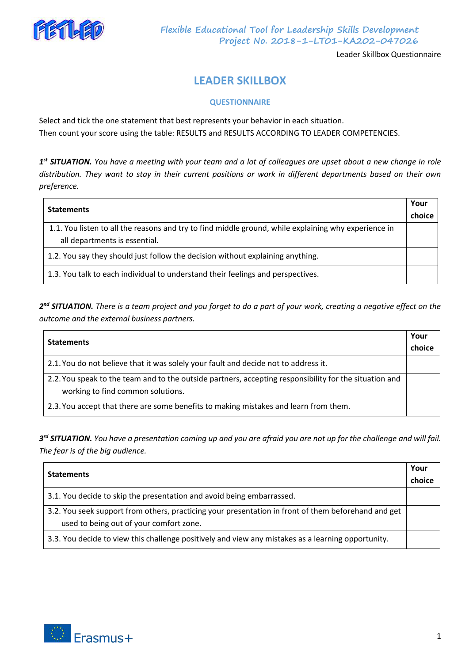

Leader Skillbox Questionnaire

# **LEADER SKILLBOX**

# **QUESTIONNAIRE**

Select and tick the one statement that best represents your behavior in each situation. Then count your score using the table: RESULTS and RESULTS ACCORDING TO LEADER COMPETENCIES.

*1 st SITUATION. You have a meeting with your team and a lot of colleagues are upset about a new change in role distribution. They want to stay in their current positions or work in different departments based on their own preference.*

| <b>Statements</b>                                                                                                                     | Your   |
|---------------------------------------------------------------------------------------------------------------------------------------|--------|
|                                                                                                                                       | choice |
| 1.1. You listen to all the reasons and try to find middle ground, while explaining why experience in<br>all departments is essential. |        |
| 1.2. You say they should just follow the decision without explaining anything.                                                        |        |
| 1.3. You talk to each individual to understand their feelings and perspectives.                                                       |        |

*2 nd SITUATION. There is a team project and you forget to do a part of your work, creating a negative effect on the outcome and the external business partners.*

| <b>Statements</b>                                                                                                                           | Your   |
|---------------------------------------------------------------------------------------------------------------------------------------------|--------|
|                                                                                                                                             | choice |
| 2.1. You do not believe that it was solely your fault and decide not to address it.                                                         |        |
| 2.2. You speak to the team and to the outside partners, accepting responsibility for the situation and<br>working to find common solutions. |        |
| 2.3. You accept that there are some benefits to making mistakes and learn from them.                                                        |        |

*3 rd SITUATION. You have a presentation coming up and you are afraid you are not up for the challenge and will fail. The fear is of the big audience.*

| <b>Statements</b>                                                                                   | Your   |
|-----------------------------------------------------------------------------------------------------|--------|
|                                                                                                     | choice |
| 3.1. You decide to skip the presentation and avoid being embarrassed.                               |        |
| 3.2. You seek support from others, practicing your presentation in front of them beforehand and get |        |
| used to being out of your comfort zone.                                                             |        |
| 3.3. You decide to view this challenge positively and view any mistakes as a learning opportunity.  |        |

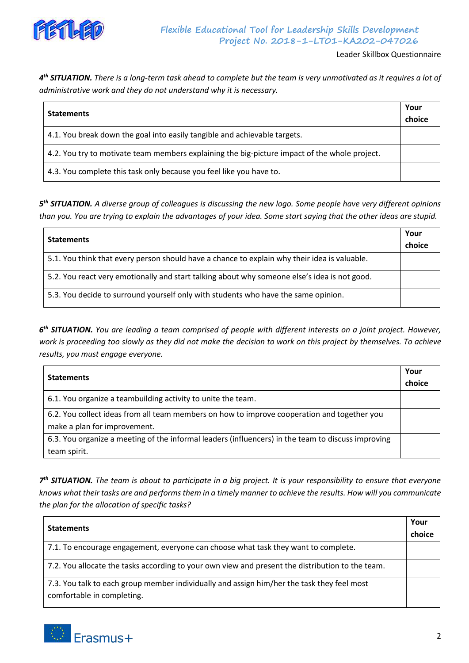

# **Flexible Educational Tool for Leadership Skills Development Project No. 2018-1-LT01-KA202-047026**

Leader Skillbox Questionnaire

*4 th SITUATION. There is a long-term task ahead to complete but the team is very unmotivated as it requires a lot of administrative work and they do not understand why it is necessary.*

| <b>Statements</b>                                                                             | Your<br>choice |
|-----------------------------------------------------------------------------------------------|----------------|
| 4.1. You break down the goal into easily tangible and achievable targets.                     |                |
| 4.2. You try to motivate team members explaining the big-picture impact of the whole project. |                |
| 4.3. You complete this task only because you feel like you have to.                           |                |

*5 th SITUATION. A diverse group of colleagues is discussing the new logo. Some people have very different opinions than you. You are trying to explain the advantages of your idea. Some start saying that the other ideas are stupid.*

| <b>Statements</b>                                                                            | Your   |
|----------------------------------------------------------------------------------------------|--------|
|                                                                                              | choice |
| 5.1. You think that every person should have a chance to explain why their idea is valuable. |        |
| 5.2. You react very emotionally and start talking about why someone else's idea is not good. |        |
| 5.3. You decide to surround yourself only with students who have the same opinion.           |        |

*6 th SITUATION. You are leading a team comprised of people with different interests on a joint project. However, work is proceeding too slowly as they did not make the decision to work on this project by themselves. To achieve results, you must engage everyone.*

| <b>Statements</b>                                                                                  | Your   |
|----------------------------------------------------------------------------------------------------|--------|
|                                                                                                    | choice |
| 6.1. You organize a teambuilding activity to unite the team.                                       |        |
| 6.2. You collect ideas from all team members on how to improve cooperation and together you        |        |
| make a plan for improvement.                                                                       |        |
| 6.3. You organize a meeting of the informal leaders (influencers) in the team to discuss improving |        |
| team spirit.                                                                                       |        |

*7 th SITUATION. The team is about to participate in a big project. It is your responsibility to ensure that everyone knows what their tasks are and performs them in a timely manner to achieve the results. How will you communicate the plan for the allocation of specific tasks?*

| <b>Statements</b>                                                                                                        | Your   |
|--------------------------------------------------------------------------------------------------------------------------|--------|
|                                                                                                                          | choice |
| 7.1. To encourage engagement, everyone can choose what task they want to complete.                                       |        |
| 7.2. You allocate the tasks according to your own view and present the distribution to the team.                         |        |
| 7.3. You talk to each group member individually and assign him/her the task they feel most<br>comfortable in completing. |        |

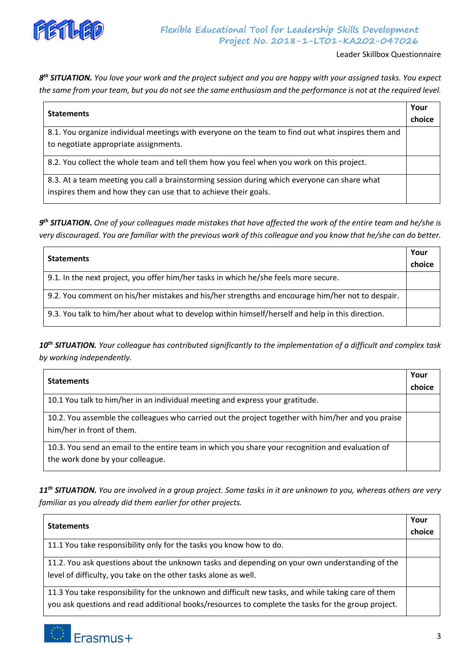

# **Flexible Educational Tool for Leadership Skills Development Project No. 2018-1-LT01-KA202-047026**

Leader Skillbox Questionnaire

*8 th SITUATION. You love your work and the project subject and you are happy with your assigned tasks. You expect the same from your team, but you do not see the same enthusiasm and the performance is not at the required level.*

| <b>Statements</b>                                                                                  | Your   |
|----------------------------------------------------------------------------------------------------|--------|
|                                                                                                    | choice |
| 8.1. You organize individual meetings with everyone on the team to find out what inspires them and |        |
| to negotiate appropriate assignments.                                                              |        |
| 8.2. You collect the whole team and tell them how you feel when you work on this project.          |        |
| 8.3. At a team meeting you call a brainstorming session during which everyone can share what       |        |
| inspires them and how they can use that to achieve their goals.                                    |        |

*9 th SITUATION. One of your colleagues made mistakes that have affected the work of the entire team and he/she is very discouraged. You are familiar with the previous work of this colleague and you know that he/she can do better.*

| <b>Statements</b>                                                                                 | Your   |
|---------------------------------------------------------------------------------------------------|--------|
|                                                                                                   | choice |
| 9.1. In the next project, you offer him/her tasks in which he/she feels more secure.              |        |
| 9.2. You comment on his/her mistakes and his/her strengths and encourage him/her not to despair.  |        |
| 9.3. You talk to him/her about what to develop within himself/herself and help in this direction. |        |

*10th SITUATION. Your colleague has contributed significantly to the implementation of a difficult and complex task by working independently.*

| <b>Statements</b>                                                                                                                    | Your   |
|--------------------------------------------------------------------------------------------------------------------------------------|--------|
|                                                                                                                                      | choice |
| 10.1 You talk to him/her in an individual meeting and express your gratitude.                                                        |        |
| 10.2. You assemble the colleagues who carried out the project together with him/her and you praise<br>him/her in front of them.      |        |
| 10.3. You send an email to the entire team in which you share your recognition and evaluation of<br>the work done by your colleague. |        |

*11th SITUATION. You are involved in a group project. Some tasks in it are unknown to you, whereas others are very familiar as you already did them earlier for other projects.*

| <b>Statements</b>                                                                                                                                                                                         | Your   |
|-----------------------------------------------------------------------------------------------------------------------------------------------------------------------------------------------------------|--------|
|                                                                                                                                                                                                           | choice |
| 11.1 You take responsibility only for the tasks you know how to do.                                                                                                                                       |        |
| 11.2. You ask questions about the unknown tasks and depending on your own understanding of the<br>level of difficulty, you take on the other tasks alone as well.                                         |        |
| 11.3 You take responsibility for the unknown and difficult new tasks, and while taking care of them<br>you ask questions and read additional books/resources to complete the tasks for the group project. |        |

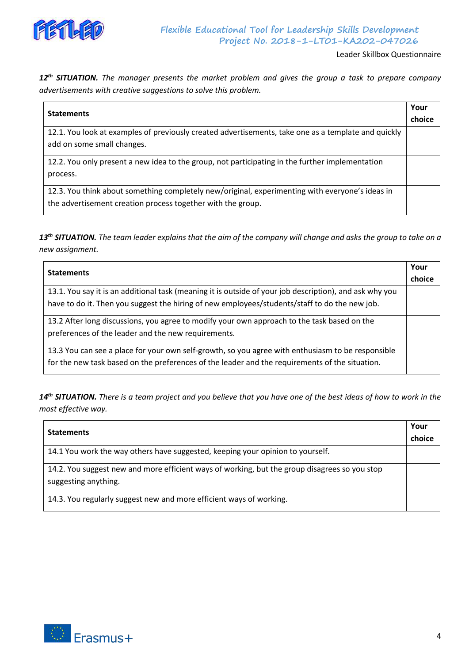

Leader Skillbox Questionnaire

*12th SITUATION. The manager presents the market problem and gives the group a task to prepare company advertisements with creative suggestions to solve this problem.*

| <b>Statements</b>                                                                                   | Your   |
|-----------------------------------------------------------------------------------------------------|--------|
|                                                                                                     | choice |
| 12.1. You look at examples of previously created advertisements, take one as a template and quickly |        |
| add on some small changes.                                                                          |        |
| 12.2. You only present a new idea to the group, not participating in the further implementation     |        |
| process.                                                                                            |        |
| 12.3. You think about something completely new/original, experimenting with everyone's ideas in     |        |
| the advertisement creation process together with the group.                                         |        |

*13th SITUATION. The team leader explains that the aim of the company will change and asks the group to take on a new assignment.*

| <b>Statements</b>                                                                                       | choice |
|---------------------------------------------------------------------------------------------------------|--------|
| 13.1. You say it is an additional task (meaning it is outside of your job description), and ask why you |        |
| have to do it. Then you suggest the hiring of new employees/students/staff to do the new job.           |        |
| 13.2 After long discussions, you agree to modify your own approach to the task based on the             |        |
| preferences of the leader and the new requirements.                                                     |        |
| 13.3 You can see a place for your own self-growth, so you agree with enthusiasm to be responsible       |        |
| for the new task based on the preferences of the leader and the requirements of the situation.          |        |

*14th SITUATION. There is a team project and you believe that you have one of the best ideas of how to work in the most effective way.*

| <b>Statements</b>                                                                             |        |
|-----------------------------------------------------------------------------------------------|--------|
|                                                                                               | choice |
| 14.1 You work the way others have suggested, keeping your opinion to yourself.                |        |
| 14.2. You suggest new and more efficient ways of working, but the group disagrees so you stop |        |
| suggesting anything.                                                                          |        |
| 14.3. You regularly suggest new and more efficient ways of working.                           |        |

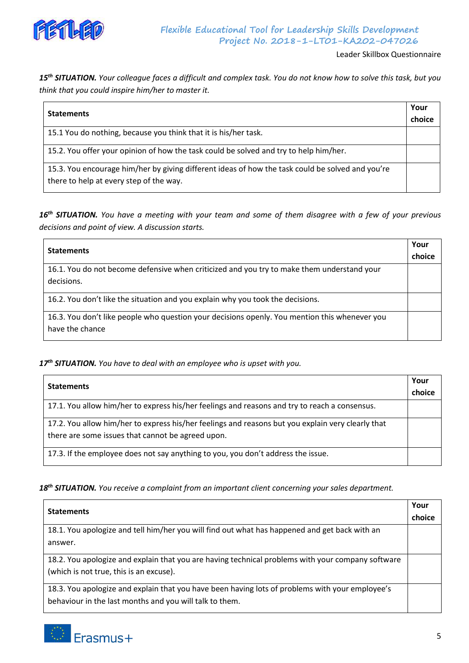

Leader Skillbox Questionnaire

*15th SITUATION. Your colleague faces a difficult and complex task. You do not know how to solve this task, but you think that you could inspire him/her to master it.*

| <b>Statements</b>                                                                                | Your   |
|--------------------------------------------------------------------------------------------------|--------|
|                                                                                                  | choice |
| 15.1 You do nothing, because you think that it is his/her task.                                  |        |
| 15.2. You offer your opinion of how the task could be solved and try to help him/her.            |        |
| 15.3. You encourage him/her by giving different ideas of how the task could be solved and you're |        |
| there to help at every step of the way.                                                          |        |

*16th SITUATION. You have a meeting with your team and some of them disagree with a few of your previous decisions and point of view. A discussion starts.*

| <b>Statements</b>                                                                                                | Your<br>choice |
|------------------------------------------------------------------------------------------------------------------|----------------|
| 16.1. You do not become defensive when criticized and you try to make them understand your<br>decisions.         |                |
| 16.2. You don't like the situation and you explain why you took the decisions.                                   |                |
| 16.3. You don't like people who question your decisions openly. You mention this whenever you<br>have the chance |                |

*17th SITUATION. You have to deal with an employee who is upset with you.*

| <b>Statements</b>                                                                                 | Your   |
|---------------------------------------------------------------------------------------------------|--------|
|                                                                                                   | choice |
| 17.1. You allow him/her to express his/her feelings and reasons and try to reach a consensus.     |        |
| 17.2. You allow him/her to express his/her feelings and reasons but you explain very clearly that |        |
| there are some issues that cannot be agreed upon.                                                 |        |
| 17.3. If the employee does not say anything to you, you don't address the issue.                  |        |

*18th SITUATION. You receive a complaint from an important client concerning your sales department.*

| <b>Statements</b>                                                                                 |        |
|---------------------------------------------------------------------------------------------------|--------|
|                                                                                                   | choice |
| 18.1. You apologize and tell him/her you will find out what has happened and get back with an     |        |
| answer.                                                                                           |        |
| 18.2. You apologize and explain that you are having technical problems with your company software |        |
| (which is not true, this is an excuse).                                                           |        |
| 18.3. You apologize and explain that you have been having lots of problems with your employee's   |        |
| behaviour in the last months and you will talk to them.                                           |        |

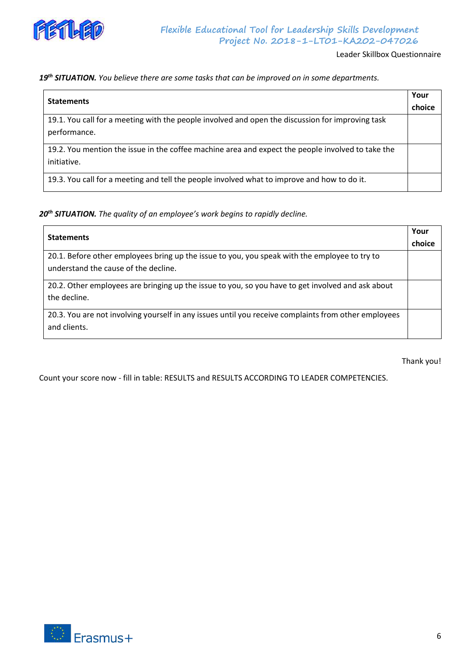

# *19th SITUATION. You believe there are some tasks that can be improved on in some departments.*

| <b>Statements</b>                                                                                                | Your<br>choice |
|------------------------------------------------------------------------------------------------------------------|----------------|
| 19.1. You call for a meeting with the people involved and open the discussion for improving task<br>performance. |                |
| 19.2. You mention the issue in the coffee machine area and expect the people involved to take the<br>initiative. |                |
| 19.3. You call for a meeting and tell the people involved what to improve and how to do it.                      |                |

# *20th SITUATION. The quality of an employee's work begins to rapidly decline.*

| <b>Statements</b>                                                                                    | Your   |
|------------------------------------------------------------------------------------------------------|--------|
|                                                                                                      | choice |
| 20.1. Before other employees bring up the issue to you, you speak with the employee to try to        |        |
| understand the cause of the decline.                                                                 |        |
| 20.2. Other employees are bringing up the issue to you, so you have to get involved and ask about    |        |
| the decline.                                                                                         |        |
| 20.3. You are not involving yourself in any issues until you receive complaints from other employees |        |
| and clients.                                                                                         |        |

Thank you!

Count your score now - fill in table: RESULTS and RESULTS ACCORDING TO LEADER COMPETENCIES.

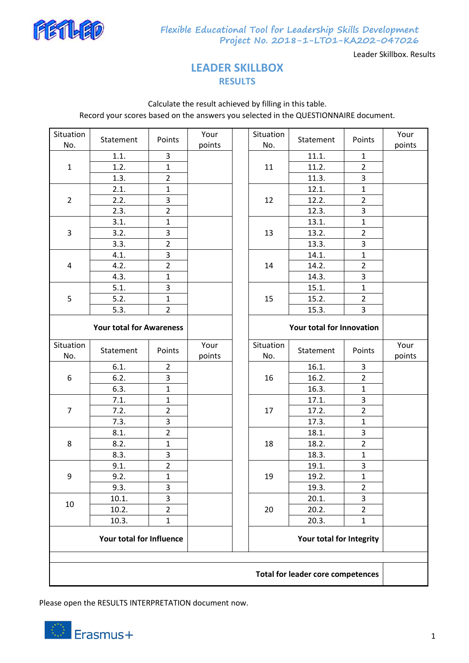

**Flexible Educational Tool for Leadership Skills Development Project No. 2018-1-LT01-KA202-047026**

Leader Skillbox. Results

# **LEADER SKILLBOX RESULTS**

Calculate the result achieved by filling in this table. Record your scores based on the answers you selected in the QUESTIONNAIRE document.

| Situation<br>No.                         | Statement | Points         | Your<br>points |                          | Situation<br>No.          | Statement | Points         | Your<br>points |
|------------------------------------------|-----------|----------------|----------------|--------------------------|---------------------------|-----------|----------------|----------------|
|                                          | 1.1.      | 3              |                |                          |                           | 11.1.     | $\mathbf{1}$   |                |
| $\mathbf{1}$                             | 1.2.      | $\mathbf{1}$   |                |                          | 11                        | 11.2.     | $\overline{2}$ |                |
|                                          | 1.3.      | $\overline{2}$ |                |                          |                           | 11.3.     | 3              |                |
| $\overline{2}$                           | 2.1.      | $\mathbf{1}$   |                |                          |                           | 12.1.     | $\mathbf 1$    |                |
|                                          | 2.2.      | 3              |                |                          | 12                        | 12.2.     | $\overline{2}$ |                |
|                                          | 2.3.      | $\overline{2}$ |                |                          |                           | 12.3.     | 3              |                |
|                                          | 3.1.      | $\mathbf 1$    |                |                          |                           | 13.1.     | $\mathbf{1}$   |                |
| 3                                        | 3.2.      | 3              |                |                          | 13                        | 13.2.     | $\overline{2}$ |                |
|                                          | 3.3.      | $\overline{2}$ |                |                          |                           | 13.3.     | 3              |                |
|                                          | 4.1.      | 3              |                |                          |                           | 14.1.     | $\mathbf{1}$   |                |
| 4                                        | 4.2.      | $\overline{2}$ |                |                          | 14                        | 14.2.     | $\overline{2}$ |                |
|                                          | 4.3.      | $\mathbf{1}$   |                |                          |                           | 14.3.     | 3              |                |
|                                          | 5.1.      | 3              |                |                          |                           | 15.1.     | $\mathbf{1}$   |                |
| 5                                        | 5.2.      | $\mathbf{1}$   |                |                          | 15                        | 15.2.     | $\overline{2}$ |                |
|                                          | 5.3.      | $\overline{2}$ |                |                          |                           | 15.3.     | 3              |                |
| <b>Your total for Awareness</b>          |           |                |                |                          | Your total for Innovation |           |                |                |
| Situation<br>No.                         | Statement | Points         | Your<br>points |                          | Situation<br>No.          | Statement | Points         | Your<br>points |
|                                          | 6.1.      | $\overline{2}$ |                |                          |                           | 16.1.     | 3              |                |
| 6                                        | 6.2.      | 3              |                |                          | 16                        | 16.2.     | $\overline{2}$ |                |
|                                          | 6.3.      | $\mathbf{1}$   |                |                          |                           | 16.3.     | $\mathbf{1}$   |                |
|                                          | 7.1.      | $\mathbf{1}$   |                |                          |                           | 17.1.     | 3              |                |
| $\overline{7}$                           | 7.2.      | $\overline{2}$ |                |                          | 17                        | 17.2.     | $\overline{2}$ |                |
|                                          | 7.3.      | 3              |                |                          |                           | 17.3.     | $\mathbf{1}$   |                |
|                                          | 8.1.      | $\overline{2}$ |                |                          |                           | 18.1.     | 3              |                |
| 8                                        | 8.2.      | $\mathbf{1}$   |                |                          | 18                        | 18.2.     | $\overline{2}$ |                |
|                                          | 8.3.      | 3              |                |                          |                           | 18.3.     | $\mathbf{1}$   |                |
|                                          | 9.1.      | $\overline{2}$ |                |                          |                           | 19.1.     | 3              |                |
| 9                                        | 9.2.      | $\mathbf{1}$   |                |                          | 19                        | 19.2.     | $\mathbf{1}$   |                |
|                                          | 9.3.      | 3              |                |                          |                           | 19.3.     | $\overline{2}$ |                |
| 10                                       | 10.1.     | 3              |                |                          |                           | 20.1.     | 3              |                |
|                                          | 10.2.     | $\overline{2}$ |                |                          | 20                        | 20.2.     | $\overline{2}$ |                |
|                                          | 10.3.     | $\mathbf{1}$   |                |                          |                           | 20.3.     | $\mathbf{1}$   |                |
|                                          |           |                |                | Your total for Integrity |                           |           |                |                |
|                                          |           |                |                |                          |                           |           |                |                |
| <b>Total for leader core competences</b> |           |                |                |                          |                           |           |                |                |

Please open the RESULTS INTERPRETATION document now.

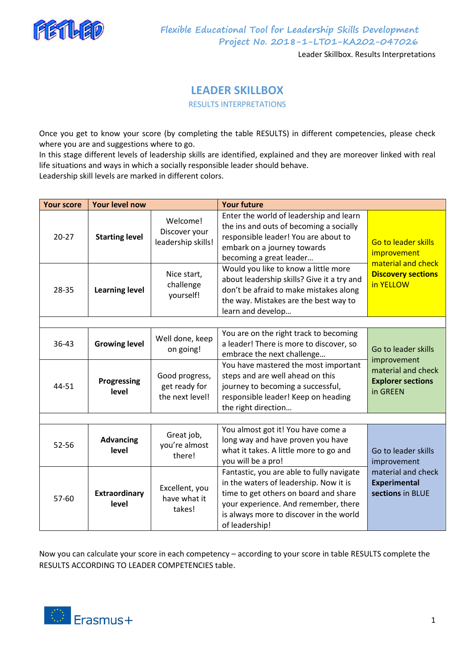

**Flexible Educational Tool for Leadership Skills Development Project No. 2018-1-LT01-KA202-047026**

Leader Skillbox. Results Interpretations

# **LEADER SKILLBOX**

RESULTS INTERPRETATIONS

Once you get to know your score (by completing the table RESULTS) in different competencies, please check where you are and suggestions where to go.

In this stage different levels of leadership skills are identified, explained and they are moreover linked with real life situations and ways in which a socially responsible leader should behave.

Leadership skill levels are marked in different colors.

| <b>Your score</b> | <b>Your level now</b>         |                                                    | <b>Your future</b>                                                                                                                                                                                                                |                                                                           |  |
|-------------------|-------------------------------|----------------------------------------------------|-----------------------------------------------------------------------------------------------------------------------------------------------------------------------------------------------------------------------------------|---------------------------------------------------------------------------|--|
| $20 - 27$         | <b>Starting level</b>         | Welcome!<br>Discover your<br>leadership skills!    | Enter the world of leadership and learn<br>the ins and outs of becoming a socially<br>responsible leader! You are about to<br>embark on a journey towards<br>becoming a great leader                                              | <b>Go to leader skills</b><br>improvement                                 |  |
| 28-35             | <b>Learning level</b>         | Nice start,<br>challenge<br>yourself!              | Would you like to know a little more<br>about leadership skills? Give it a try and<br>don't be afraid to make mistakes along<br>the way. Mistakes are the best way to<br>learn and develop                                        | material and check<br><b>Discovery sections</b><br>in YELLOW              |  |
| 36-43             | <b>Growing level</b>          | Well done, keep<br>on going!                       | You are on the right track to becoming<br>a leader! There is more to discover, so<br>embrace the next challenge                                                                                                                   | Go to leader skills                                                       |  |
| 44-51             | Progressing<br>level          | Good progress,<br>get ready for<br>the next level! | You have mastered the most important<br>steps and are well ahead on this<br>journey to becoming a successful,<br>responsible leader! Keep on heading<br>the right direction                                                       | improvement<br>material and check<br><b>Explorer sections</b><br>in GREEN |  |
|                   |                               |                                                    |                                                                                                                                                                                                                                   |                                                                           |  |
| 52-56             | <b>Advancing</b><br>level     | Great job,<br>you're almost<br>there!              | You almost got it! You have come a<br>long way and have proven you have<br>what it takes. A little more to go and<br>you will be a pro!                                                                                           | Go to leader skills<br>improvement                                        |  |
| 57-60             | <b>Extraordinary</b><br>level | Excellent, you<br>have what it<br>takes!           | Fantastic, you are able to fully navigate<br>in the waters of leadership. Now it is<br>time to get others on board and share<br>your experience. And remember, there<br>is always more to discover in the world<br>of leadership! | material and check<br><b>Experimental</b><br>sections in BLUE             |  |

Now you can calculate your score in each competency – according to your score in table RESULTS complete the RESULTS ACCORDING TO LEADER COMPETENCIES table.

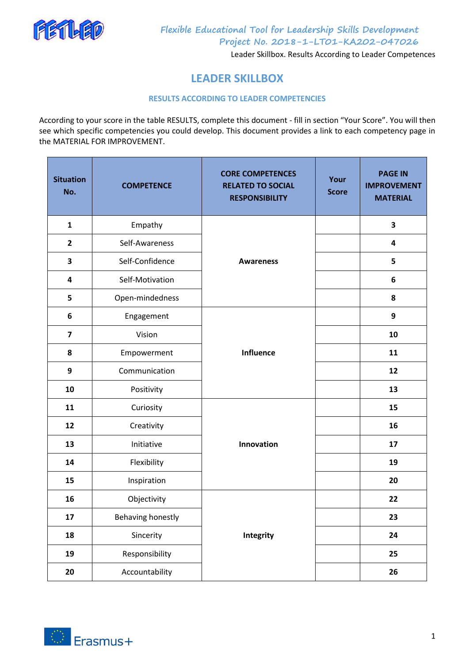

**Project No. 2018-1-LT01-KA202-047026**

Leader Skillbox. Results According to Leader Competences

# **LEADER SKILLBOX**

# **RESULTS ACCORDING TO LEADER COMPETENCIES**

According to your score in the table RESULTS, complete this document - fill in section "Your Score". You will then see which specific competencies you could develop. This document provides a link to each competency page in the MATERIAL FOR IMPROVEMENT.

| <b>Situation</b><br>No. | <b>COMPETENCE</b>        | <b>CORE COMPETENCES</b><br><b>RELATED TO SOCIAL</b><br><b>RESPONSIBILITY</b> | Your<br><b>Score</b> | <b>PAGE IN</b><br><b>IMPROVEMENT</b><br><b>MATERIAL</b> |
|-------------------------|--------------------------|------------------------------------------------------------------------------|----------------------|---------------------------------------------------------|
| $\mathbf{1}$            | Empathy                  |                                                                              |                      | 3                                                       |
| $\overline{2}$          | Self-Awareness           |                                                                              |                      | 4                                                       |
| 3                       | Self-Confidence          | <b>Awareness</b>                                                             |                      | 5                                                       |
| 4                       | Self-Motivation          |                                                                              |                      | 6                                                       |
| 5                       | Open-mindedness          |                                                                              |                      | 8                                                       |
| 6                       | Engagement               |                                                                              |                      | 9                                                       |
| $\overline{\mathbf{z}}$ | Vision                   |                                                                              |                      | 10                                                      |
| 8                       | Empowerment              | <b>Influence</b>                                                             |                      | 11                                                      |
| $\boldsymbol{9}$        | Communication            |                                                                              |                      | 12                                                      |
| 10                      | Positivity               |                                                                              |                      | 13                                                      |
| 11                      | Curiosity                |                                                                              |                      | 15                                                      |
| 12                      | Creativity               |                                                                              |                      | 16                                                      |
| 13                      | Initiative               | Innovation                                                                   |                      | 17                                                      |
| 14                      | Flexibility              |                                                                              |                      | 19                                                      |
| 15                      | Inspiration              |                                                                              |                      | 20                                                      |
| 16                      | Objectivity              |                                                                              |                      | 22                                                      |
| 17                      | <b>Behaving honestly</b> |                                                                              |                      | 23                                                      |
| 18                      | Sincerity                | <b>Integrity</b>                                                             |                      | 24                                                      |
| 19                      | Responsibility           |                                                                              |                      | 25                                                      |
| 20                      | Accountability           |                                                                              |                      | 26                                                      |

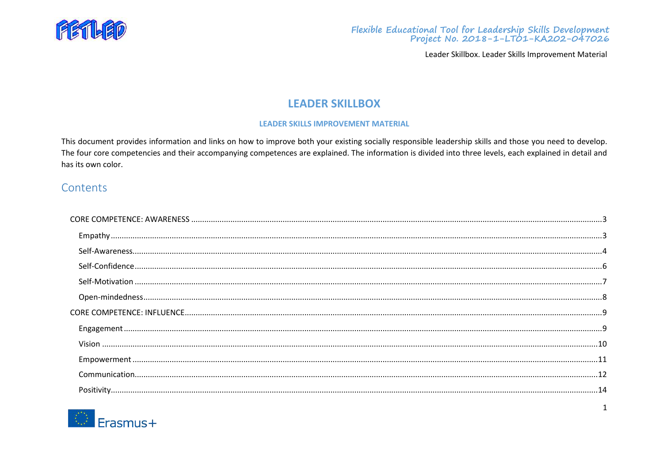

# **LEADER SKILLBOX**

# **LEADER SKILLS IMPROVEMENT MATERIAL**

This document provides information and links on how to improve both your existing socially responsible leadership skills and those you need to develop. The four core competencies and their accompanying competences are explained. The information is divided into three levels, each explained in detail and has its own color.

# Contents

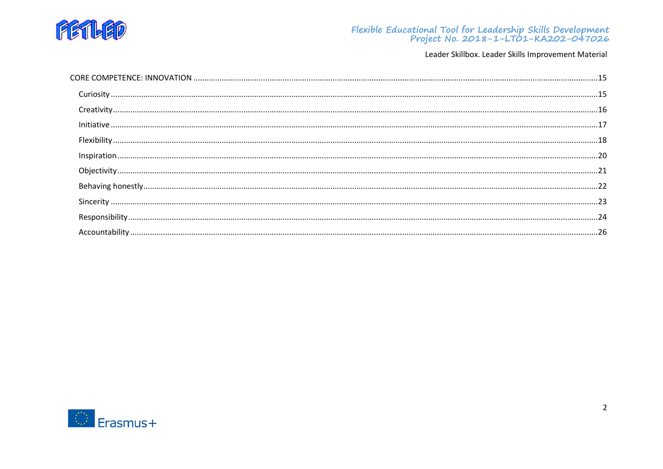

# Flexible Educational Tool for Leadership Skills Development<br>Project No. 2018-1-LT01-KA202-047026

Leader Skillbox. Leader Skills Improvement Material

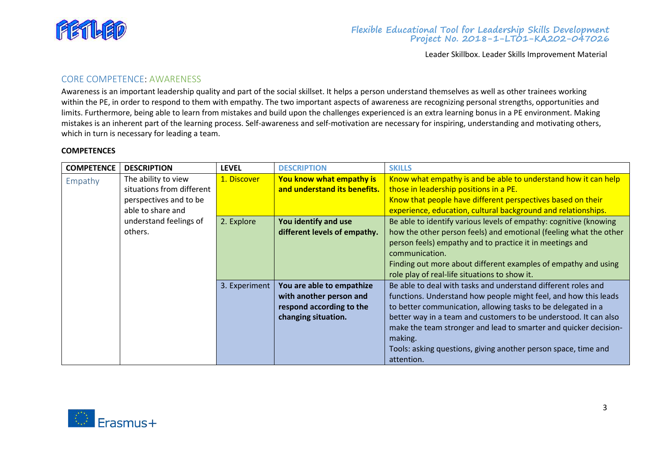

# <span id="page-13-0"></span>CORE COMPETENCE: AWARENESS

Awareness is an important leadership quality and part of the social skillset. It helps a person understand themselves as well as other trainees working within the PE, in order to respond to them with empathy. The two important aspects of awareness are recognizing personal strengths, opportunities and limits. Furthermore, being able to learn from mistakes and build upon the challenges experienced is an extra learning bonus in a PE environment. Making mistakes is an inherent part of the learning process. Self-awareness and self-motivation are necessary for inspiring, understanding and motivating others, which in turn is necessary for leading a team.

#### **COMPETENCES**

<span id="page-13-1"></span>

| <b>COMPETENCE</b> | <b>DESCRIPTION</b>        | <b>LEVEL</b>  | <b>DESCRIPTION</b>           | <b>SKILLS</b>                                                     |
|-------------------|---------------------------|---------------|------------------------------|-------------------------------------------------------------------|
| Empathy           | The ability to view       | 1. Discover   | You know what empathy is     | Know what empathy is and be able to understand how it can help    |
|                   | situations from different |               | and understand its benefits. | those in leadership positions in a PE.                            |
|                   | perspectives and to be    |               |                              | Know that people have different perspectives based on their       |
|                   | able to share and         |               |                              | experience, education, cultural background and relationships.     |
|                   | understand feelings of    | 2. Explore    | You identify and use         | Be able to identify various levels of empathy: cognitive (knowing |
|                   | others.                   |               | different levels of empathy. | how the other person feels) and emotional (feeling what the other |
|                   |                           |               |                              | person feels) empathy and to practice it in meetings and          |
|                   |                           |               |                              | communication.                                                    |
|                   |                           |               |                              | Finding out more about different examples of empathy and using    |
|                   |                           |               |                              | role play of real-life situations to show it.                     |
|                   |                           | 3. Experiment | You are able to empathize    | Be able to deal with tasks and understand different roles and     |
|                   |                           |               | with another person and      | functions. Understand how people might feel, and how this leads   |
|                   |                           |               | respond according to the     | to better communication, allowing tasks to be delegated in a      |
|                   |                           |               | changing situation.          | better way in a team and customers to be understood. It can also  |
|                   |                           |               |                              | make the team stronger and lead to smarter and quicker decision-  |
|                   |                           |               |                              | making.                                                           |
|                   |                           |               |                              | Tools: asking questions, giving another person space, time and    |
|                   |                           |               |                              | attention.                                                        |

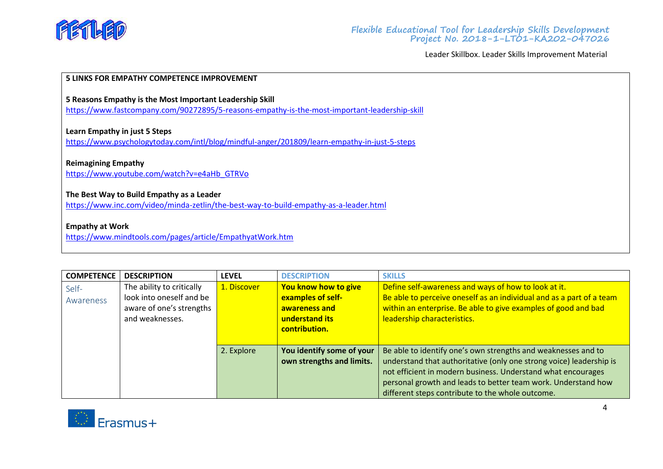

#### **5 LINKS FOR EMPATHY COMPETENCE IMPROVEMENT**

**5 Reasons Empathy is the Most Important Leadership Skill**

<https://www.fastcompany.com/90272895/5-reasons-empathy-is-the-most-important-leadership-skill>

**Learn Empathy in just 5 Steps**

<https://www.psychologytoday.com/intl/blog/mindful-anger/201809/learn-empathy-in-just-5-steps>

#### **Reimagining Empathy**

[https://www.youtube.com/watch?v=e4aHb\\_GTRVo](https://www.youtube.com/watch?v=e4aHb_GTRVo)

## **The Best Way to Build Empathy as a Leader**

<https://www.inc.com/video/minda-zetlin/the-best-way-to-build-empathy-as-a-leader.html>

# **Empathy at Work**

<https://www.mindtools.com/pages/article/EmpathyatWork.htm>

<span id="page-14-0"></span>

| <b>COMPETENCE</b> | <b>DESCRIPTION</b>        | <b>LEVEL</b> | <b>DESCRIPTION</b>        | <b>SKILLS</b>                                                        |
|-------------------|---------------------------|--------------|---------------------------|----------------------------------------------------------------------|
| Self-             | The ability to critically | 1. Discover  | You know how to give      | Define self-awareness and ways of how to look at it.                 |
| Awareness         | look into oneself and be  |              | examples of self-         | Be able to perceive oneself as an individual and as a part of a team |
|                   | aware of one's strengths  |              | awareness and             | within an enterprise. Be able to give examples of good and bad       |
|                   | and weaknesses.           |              | understand its            | leadership characteristics.                                          |
|                   |                           |              | contribution.             |                                                                      |
|                   |                           |              |                           |                                                                      |
|                   |                           | 2. Explore   | You identify some of your | Be able to identify one's own strengths and weaknesses and to        |
|                   |                           |              | own strengths and limits. | understand that authoritative (only one strong voice) leadership is  |
|                   |                           |              |                           | not efficient in modern business. Understand what encourages         |
|                   |                           |              |                           | personal growth and leads to better team work. Understand how        |
|                   |                           |              |                           | different steps contribute to the whole outcome.                     |

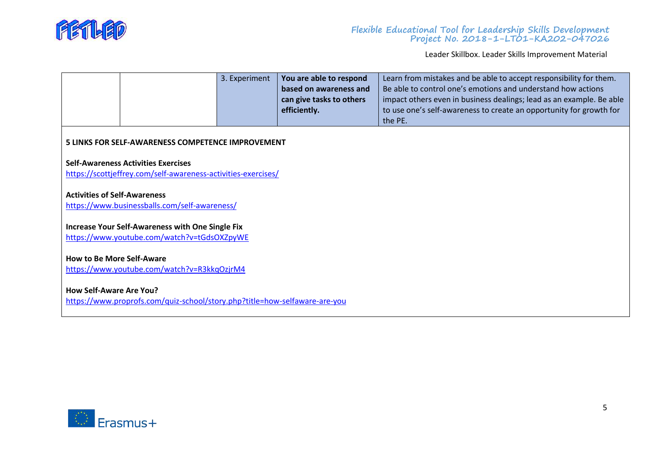

|                                                                                                              |                                                                                                             | 3. Experiment | You are able to respond<br>based on awareness and<br>can give tasks to others<br>efficiently. | Learn from mistakes and be able to accept responsibility for them.<br>Be able to control one's emotions and understand how actions<br>impact others even in business dealings; lead as an example. Be able<br>to use one's self-awareness to create an opportunity for growth for<br>the PE. |  |  |
|--------------------------------------------------------------------------------------------------------------|-------------------------------------------------------------------------------------------------------------|---------------|-----------------------------------------------------------------------------------------------|----------------------------------------------------------------------------------------------------------------------------------------------------------------------------------------------------------------------------------------------------------------------------------------------|--|--|
|                                                                                                              | 5 LINKS FOR SELF-AWARENESS COMPETENCE IMPROVEMENT                                                           |               |                                                                                               |                                                                                                                                                                                                                                                                                              |  |  |
|                                                                                                              | <b>Self-Awareness Activities Exercises</b><br>https://scottjeffrey.com/self-awareness-activities-exercises/ |               |                                                                                               |                                                                                                                                                                                                                                                                                              |  |  |
| <b>Activities of Self-Awareness</b>                                                                          | https://www.businessballs.com/self-awareness/                                                               |               |                                                                                               |                                                                                                                                                                                                                                                                                              |  |  |
|                                                                                                              | <b>Increase Your Self-Awareness with One Single Fix</b><br>https://www.youtube.com/watch?v=tGdsOXZpyWE      |               |                                                                                               |                                                                                                                                                                                                                                                                                              |  |  |
| <b>How to Be More Self-Aware</b><br>https://www.youtube.com/watch?v=R3kkqOzjrM4                              |                                                                                                             |               |                                                                                               |                                                                                                                                                                                                                                                                                              |  |  |
| <b>How Self-Aware Are You?</b><br>https://www.proprofs.com/quiz-school/story.php?title=how-selfaware-are-you |                                                                                                             |               |                                                                                               |                                                                                                                                                                                                                                                                                              |  |  |

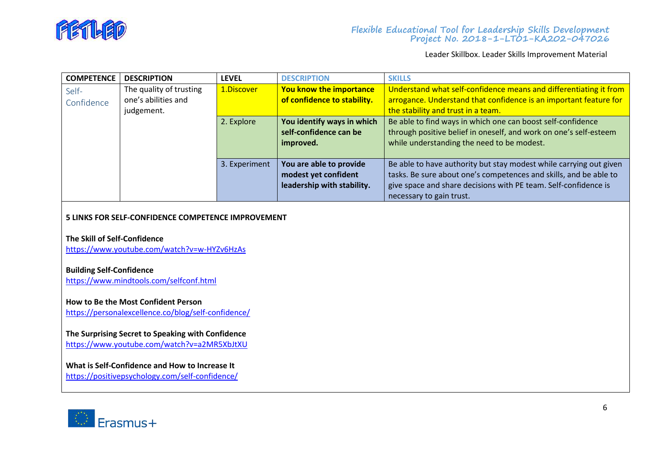

<span id="page-16-0"></span>

| <b>COMPETENCE</b> | <b>DESCRIPTION</b>      | <b>LEVEL</b>  | <b>DESCRIPTION</b>          | <b>SKILLS</b>                                                      |
|-------------------|-------------------------|---------------|-----------------------------|--------------------------------------------------------------------|
| Self-             | The quality of trusting | 1.Discover    | You know the importance     | Understand what self-confidence means and differentiating it from  |
| Confidence        | one's abilities and     |               | of confidence to stability. | arrogance. Understand that confidence is an important feature for  |
|                   | judgement.              |               |                             | the stability and trust in a team.                                 |
|                   |                         | 2. Explore    | You identify ways in which  | Be able to find ways in which one can boost self-confidence        |
|                   |                         |               | self-confidence can be      | through positive belief in oneself, and work on one's self-esteem  |
|                   |                         |               | improved.                   | while understanding the need to be modest.                         |
|                   |                         |               |                             |                                                                    |
|                   |                         | 3. Experiment | You are able to provide     | Be able to have authority but stay modest while carrying out given |
|                   |                         |               | modest yet confident        | tasks. Be sure about one's competences and skills, and be able to  |
|                   |                         |               | leadership with stability.  | give space and share decisions with PE team. Self-confidence is    |
|                   |                         |               |                             | necessary to gain trust.                                           |

## **5 LINKS FOR SELF-CONFIDENCE COMPETENCE IMPROVEMENT**

# **The Skill of Self-Confidence**

<https://www.youtube.com/watch?v=w-HYZv6HzAs>

## **Building Self-Confidence**

<https://www.mindtools.com/selfconf.html>

# **How to Be the Most Confident Person**

<https://personalexcellence.co/blog/self-confidence/>

# **The Surprising Secret to Speaking with Confidence**

<https://www.youtube.com/watch?v=a2MR5XbJtXU>

# **What is Self-Confidence and How to Increase It**

<https://positivepsychology.com/self-confidence/>

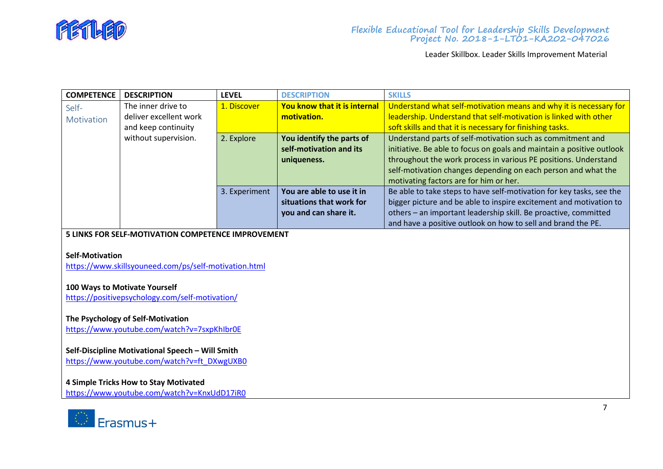

<span id="page-17-0"></span>

| <b>COMPETENCE</b> | <b>DESCRIPTION</b>     | <b>LEVEL</b>  | <b>DESCRIPTION</b>           | <b>SKILLS</b>                                                         |
|-------------------|------------------------|---------------|------------------------------|-----------------------------------------------------------------------|
| Self-             | The inner drive to     | 1. Discover   | You know that it is internal | Understand what self-motivation means and why it is necessary for     |
| Motivation        | deliver excellent work |               | motivation.                  | leadership. Understand that self-motivation is linked with other      |
|                   | and keep continuity    |               |                              | soft skills and that it is necessary for finishing tasks.             |
|                   | without supervision.   | 2. Explore    | You identify the parts of    | Understand parts of self-motivation such as commitment and            |
|                   |                        |               | self-motivation and its      | initiative. Be able to focus on goals and maintain a positive outlook |
|                   |                        |               | uniqueness.                  | throughout the work process in various PE positions. Understand       |
|                   |                        |               |                              | self-motivation changes depending on each person and what the         |
|                   |                        |               |                              | motivating factors are for him or her.                                |
|                   |                        | 3. Experiment | You are able to use it in    | Be able to take steps to have self-motivation for key tasks, see the  |
|                   |                        |               | situations that work for     | bigger picture and be able to inspire excitement and motivation to    |
|                   |                        |               | you and can share it.        | others - an important leadership skill. Be proactive, committed       |
|                   |                        |               |                              | and have a positive outlook on how to sell and brand the PE.          |

## **5 LINKS FOR SELF-MOTIVATION COMPETENCE IMPROVEMENT**

#### **Self-Motivation**

<https://www.skillsyouneed.com/ps/self-motivation.html>

#### **100 Ways to Motivate Yourself**

<https://positivepsychology.com/self-motivation/>

## **The Psychology of Self-Motivation**

<https://www.youtube.com/watch?v=7sxpKhIbr0E>

# **Self-Discipline Motivational Speech – Will Smith**

[https://www.youtube.com/watch?v=ft\\_DXwgUXB0](https://www.youtube.com/watch?v=ft_DXwgUXB0)

# **4 Simple Tricks How to Stay Motivated**

<https://www.youtube.com/watch?v=KnxUdD17iR0>

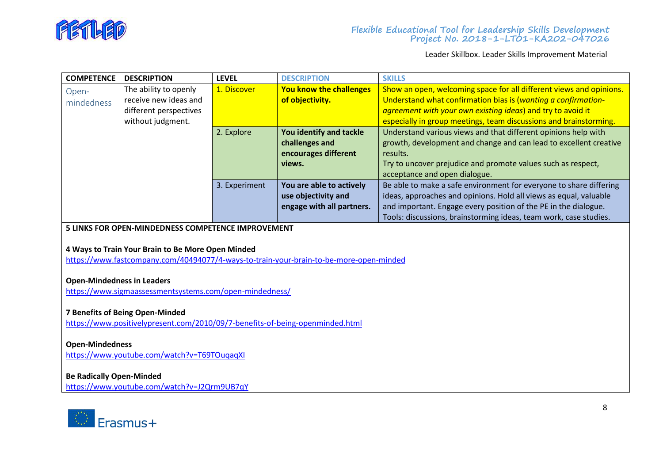

<span id="page-18-0"></span>

| <b>COMPETENCE</b> | <b>DESCRIPTION</b>     | <b>LEVEL</b>  | <b>DESCRIPTION</b>        | <b>SKILLS</b>                                                       |
|-------------------|------------------------|---------------|---------------------------|---------------------------------------------------------------------|
| Open-             | The ability to openly  | 1. Discover   | You know the challenges   | Show an open, welcoming space for all different views and opinions. |
| mindedness        | receive new ideas and  |               | of objectivity.           | Understand what confirmation bias is (wanting a confirmation-       |
|                   | different perspectives |               |                           | agreement with your own existing ideas) and try to avoid it         |
|                   | without judgment.      |               |                           | especially in group meetings, team discussions and brainstorming.   |
|                   |                        | 2. Explore    | You identify and tackle   | Understand various views and that different opinions help with      |
|                   |                        |               | challenges and            | growth, development and change and can lead to excellent creative   |
|                   |                        |               | encourages different      | results.                                                            |
|                   |                        |               | views.                    | Try to uncover prejudice and promote values such as respect,        |
|                   |                        |               |                           | acceptance and open dialogue.                                       |
|                   |                        | 3. Experiment | You are able to actively  | Be able to make a safe environment for everyone to share differing  |
|                   |                        |               | use objectivity and       | ideas, approaches and opinions. Hold all views as equal, valuable   |
|                   |                        |               | engage with all partners. | and important. Engage every position of the PE in the dialogue.     |
|                   |                        |               |                           | Tools: discussions, brainstorming ideas, team work, case studies.   |

#### **5 LINKS FOR OPEN-MINDEDNESS COMPETENCE IMPROVEMENT**

# **4 Ways to Train Your Brain to Be More Open Minded**

<https://www.fastcompany.com/40494077/4-ways-to-train-your-brain-to-be-more-open-minded>

# **Open-Mindedness in Leaders**

<https://www.sigmaassessmentsystems.com/open-mindedness/>

#### **7 Benefits of Being Open-Minded**

<https://www.positivelypresent.com/2010/09/7-benefits-of-being-openminded.html>

# **Open-Mindedness**

<https://www.youtube.com/watch?v=T69TOuqaqXI>

# **Be Radically Open-Minded**

<https://www.youtube.com/watch?v=J2Qrm9UB7qY>

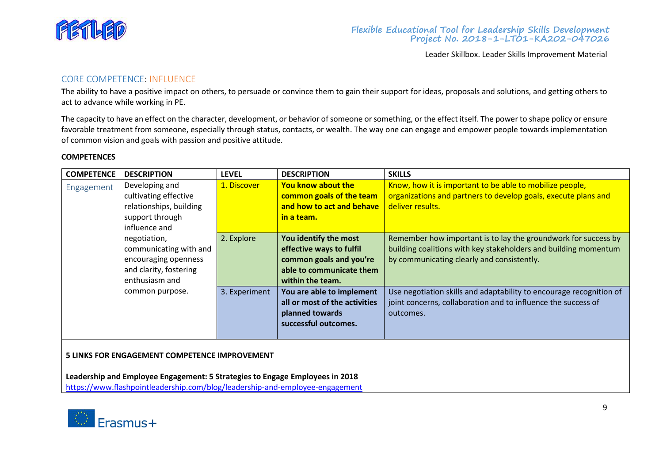

# <span id="page-19-0"></span>CORE COMPETENCE: INFLUENCE

The ability to have a positive impact on others, to persuade or convince them to gain their support for ideas, proposals and solutions, and getting others to act to advance while working in PE.

The capacity to have an effect on the character, development, or behavior of someone or something, or the effect itself. The power to shape policy or ensure favorable treatment from someone, especially through status, contacts, or wealth. The way one can engage and empower people towards implementation of common vision and goals with passion and positive attitude.

#### **COMPETENCES**

<span id="page-19-1"></span>

| <b>COMPETENCE</b> | <b>DESCRIPTION</b>      | <b>LEVEL</b>  | <b>DESCRIPTION</b>            | <b>SKILLS</b>                                                       |
|-------------------|-------------------------|---------------|-------------------------------|---------------------------------------------------------------------|
| Engagement        | Developing and          | 1. Discover   | <b>You know about the</b>     | Know, how it is important to be able to mobilize people,            |
|                   | cultivating effective   |               | common goals of the team      | organizations and partners to develop goals, execute plans and      |
|                   | relationships, building |               | and how to act and behave     | deliver results.                                                    |
|                   | support through         |               | in a team.                    |                                                                     |
|                   | influence and           |               |                               |                                                                     |
|                   | negotiation,            | 2. Explore    | You identify the most         | Remember how important is to lay the groundwork for success by      |
|                   | communicating with and  |               | effective ways to fulfil      | building coalitions with key stakeholders and building momentum     |
|                   | encouraging openness    |               | common goals and you're       | by communicating clearly and consistently.                          |
|                   | and clarity, fostering  |               | able to communicate them      |                                                                     |
|                   | enthusiasm and          |               | within the team.              |                                                                     |
|                   | common purpose.         | 3. Experiment | You are able to implement     | Use negotiation skills and adaptability to encourage recognition of |
|                   |                         |               | all or most of the activities | joint concerns, collaboration and to influence the success of       |
|                   |                         |               | planned towards               | outcomes.                                                           |
|                   |                         |               | successful outcomes.          |                                                                     |
|                   |                         |               |                               |                                                                     |

#### **5 LINKS FOR ENGAGEMENT COMPETENCE IMPROVEMENT**

**Leadership and Employee Engagement: 5 Strategies to Engage Employees in 2018** <https://www.flashpointleadership.com/blog/leadership-and-employee-engagement>

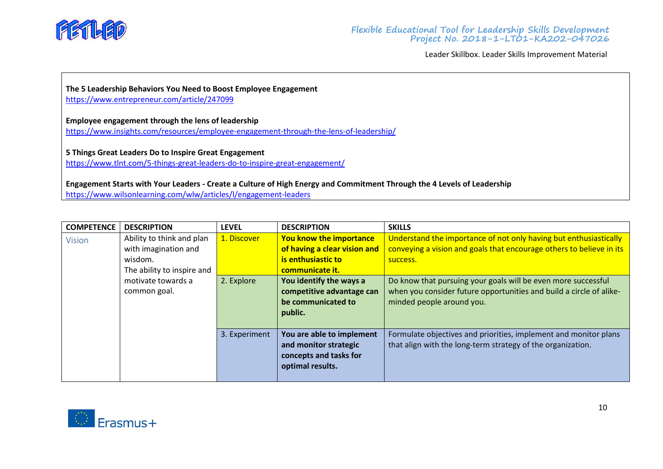

**The 5 Leadership Behaviors You Need to Boost Employee Engagement** <https://www.entrepreneur.com/article/247099>

**Employee engagement through the lens of leadership**

<https://www.insights.com/resources/employee-engagement-through-the-lens-of-leadership/>

**5 Things Great Leaders Do to Inspire Great Engagement** <https://www.tlnt.com/5-things-great-leaders-do-to-inspire-great-engagement/>

**Engagement Starts with Your Leaders - Create a Culture of High Energy and Commitment Through the 4 Levels of Leadership** <https://www.wilsonlearning.com/wlw/articles/l/engagement-leaders>

<span id="page-20-0"></span>

| <b>COMPETENCE</b> | <b>DESCRIPTION</b>         | <b>LEVEL</b>  | <b>DESCRIPTION</b>             | <b>SKILLS</b>                                                        |
|-------------------|----------------------------|---------------|--------------------------------|----------------------------------------------------------------------|
| <b>Vision</b>     | Ability to think and plan  | 1. Discover   | <b>You know the importance</b> | Understand the importance of not only having but enthusiastically    |
|                   | with imagination and       |               | of having a clear vision and   | conveying a vision and goals that encourage others to believe in its |
|                   | wisdom.                    |               | is enthusiastic to             | success.                                                             |
|                   | The ability to inspire and |               | communicate it.                |                                                                      |
|                   | motivate towards a         | 2. Explore    | You identify the ways a        | Do know that pursuing your goals will be even more successful        |
|                   | common goal.               |               | competitive advantage can      | when you consider future opportunities and build a circle of alike-  |
|                   |                            |               | be communicated to             | minded people around you.                                            |
|                   |                            |               | public.                        |                                                                      |
|                   |                            |               |                                |                                                                      |
|                   |                            | 3. Experiment | You are able to implement      | Formulate objectives and priorities, implement and monitor plans     |
|                   |                            |               | and monitor strategic          | that align with the long-term strategy of the organization.          |
|                   |                            |               | concepts and tasks for         |                                                                      |
|                   |                            |               | optimal results.               |                                                                      |
|                   |                            |               |                                |                                                                      |

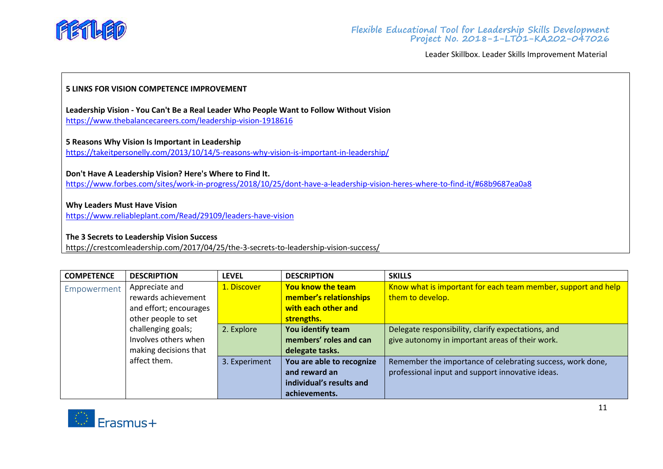

## **5 LINKS FOR VISION COMPETENCE IMPROVEMENT**

**Leadership Vision - You Can't Be a Real Leader Who People Want to Follow Without Vision** <https://www.thebalancecareers.com/leadership-vision-1918616>

#### **5 Reasons Why Vision Is Important in Leadership**

<https://takeitpersonelly.com/2013/10/14/5-reasons-why-vision-is-important-in-leadership/>

**Don't Have A Leadership Vision? Here's Where to Find It.**

<https://www.forbes.com/sites/work-in-progress/2018/10/25/dont-have-a-leadership-vision-heres-where-to-find-it/#68b9687ea0a8>

## **Why Leaders Must Have Vision**

<https://www.reliableplant.com/Read/29109/leaders-have-vision>

#### **The 3 Secrets to Leadership Vision Success**

<https://crestcomleadership.com/2017/04/25/the-3-secrets-to-leadership-vision-success/>

<span id="page-21-0"></span>

| <b>COMPETENCE</b> | <b>DESCRIPTION</b>     | <b>LEVEL</b>  | <b>DESCRIPTION</b>        | <b>SKILLS</b>                                                 |
|-------------------|------------------------|---------------|---------------------------|---------------------------------------------------------------|
| Empowerment       | Appreciate and         | 1. Discover   | <b>You know the team</b>  | Know what is important for each team member, support and help |
|                   | rewards achievement    |               | member's relationships    | them to develop.                                              |
|                   | and effort; encourages |               | with each other and       |                                                               |
|                   | other people to set    |               | strengths.                |                                                               |
|                   | challenging goals;     | 2. Explore    | You identify team         | Delegate responsibility, clarify expectations, and            |
|                   | Involves others when   |               | members' roles and can    | give autonomy in important areas of their work.               |
|                   | making decisions that  |               | delegate tasks.           |                                                               |
|                   | affect them.           | 3. Experiment | You are able to recognize | Remember the importance of celebrating success, work done,    |
|                   |                        |               | and reward an             | professional input and support innovative ideas.              |
|                   |                        |               | individual's results and  |                                                               |
|                   |                        |               | achievements.             |                                                               |

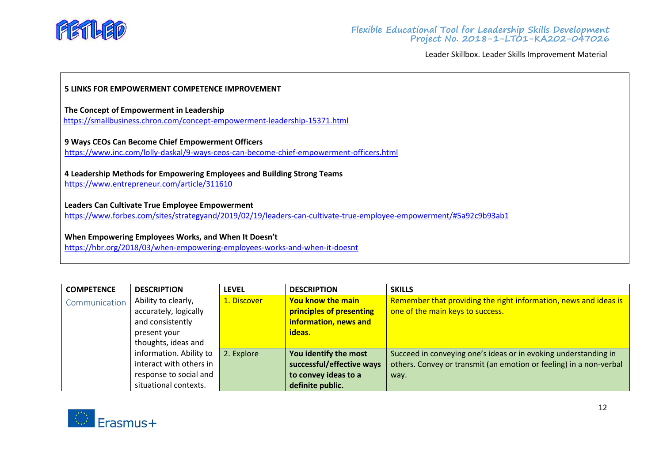

# **5 LINKS FOR EMPOWERMENT COMPETENCE IMPROVEMENT**

**The Concept of Empowerment in Leadership**

<https://smallbusiness.chron.com/concept-empowerment-leadership-15371.html>

## **9 Ways CEOs Can Become Chief Empowerment Officers**

<https://www.inc.com/lolly-daskal/9-ways-ceos-can-become-chief-empowerment-officers.html>

**4 Leadership Methods for Empowering Employees and Building Strong Teams**

<https://www.entrepreneur.com/article/311610>

# **Leaders Can Cultivate True Employee Empowerment**

<https://www.forbes.com/sites/strategyand/2019/02/19/leaders-can-cultivate-true-employee-empowerment/#5a92c9b93ab1>

# **When Empowering Employees Works, and When It Doesn't**

<https://hbr.org/2018/03/when-empowering-employees-works-and-when-it-doesnt>

<span id="page-22-0"></span>

| <b>COMPETENCE</b> | <b>DESCRIPTION</b>      | <b>LEVEL</b> | <b>DESCRIPTION</b>        | <b>SKILLS</b>                                                      |
|-------------------|-------------------------|--------------|---------------------------|--------------------------------------------------------------------|
| Communication     | Ability to clearly,     | 1. Discover  | <b>You know the main</b>  | Remember that providing the right information, news and ideas is   |
|                   | accurately, logically   |              | principles of presenting  | one of the main keys to success.                                   |
|                   | and consistently        |              | information, news and     |                                                                    |
|                   | present your            |              | ideas.                    |                                                                    |
|                   | thoughts, ideas and     |              |                           |                                                                    |
|                   | information. Ability to | 2. Explore   | You identify the most     | Succeed in conveying one's ideas or in evoking understanding in    |
|                   | interact with others in |              | successful/effective ways | others. Convey or transmit (an emotion or feeling) in a non-verbal |
|                   | response to social and  |              | to convey ideas to a      | way.                                                               |
|                   | situational contexts.   |              | definite public.          |                                                                    |

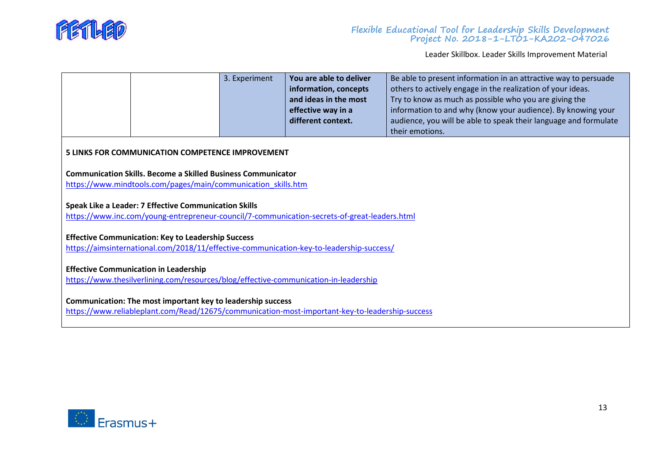

|                                                                                                                                                                |                                                                                                                                      | 3. Experiment | You are able to deliver<br>information, concepts<br>and ideas in the most<br>effective way in a<br>different context. | Be able to present information in an attractive way to persuade<br>others to actively engage in the realization of your ideas.<br>Try to know as much as possible who you are giving the<br>information to and why (know your audience). By knowing your<br>audience, you will be able to speak their language and formulate<br>their emotions. |
|----------------------------------------------------------------------------------------------------------------------------------------------------------------|--------------------------------------------------------------------------------------------------------------------------------------|---------------|-----------------------------------------------------------------------------------------------------------------------|-------------------------------------------------------------------------------------------------------------------------------------------------------------------------------------------------------------------------------------------------------------------------------------------------------------------------------------------------|
|                                                                                                                                                                | <b>5 LINKS FOR COMMUNICATION COMPETENCE IMPROVEMENT</b>                                                                              |               |                                                                                                                       |                                                                                                                                                                                                                                                                                                                                                 |
|                                                                                                                                                                | <b>Communication Skills. Become a Skilled Business Communicator</b><br>https://www.mindtools.com/pages/main/communication skills.htm |               |                                                                                                                       |                                                                                                                                                                                                                                                                                                                                                 |
|                                                                                                                                                                | <b>Speak Like a Leader: 7 Effective Communication Skills</b>                                                                         |               | https://www.inc.com/young-entrepreneur-council/7-communication-secrets-of-great-leaders.html                          |                                                                                                                                                                                                                                                                                                                                                 |
| <b>Effective Communication: Key to Leadership Success</b><br>https://aimsinternational.com/2018/11/effective-communication-key-to-leadership-success/          |                                                                                                                                      |               |                                                                                                                       |                                                                                                                                                                                                                                                                                                                                                 |
| <b>Effective Communication in Leadership</b><br>https://www.thesilverlining.com/resources/blog/effective-communication-in-leadership                           |                                                                                                                                      |               |                                                                                                                       |                                                                                                                                                                                                                                                                                                                                                 |
| Communication: The most important key to leadership success<br>https://www.reliableplant.com/Read/12675/communication-most-important-key-to-leadership-success |                                                                                                                                      |               |                                                                                                                       |                                                                                                                                                                                                                                                                                                                                                 |

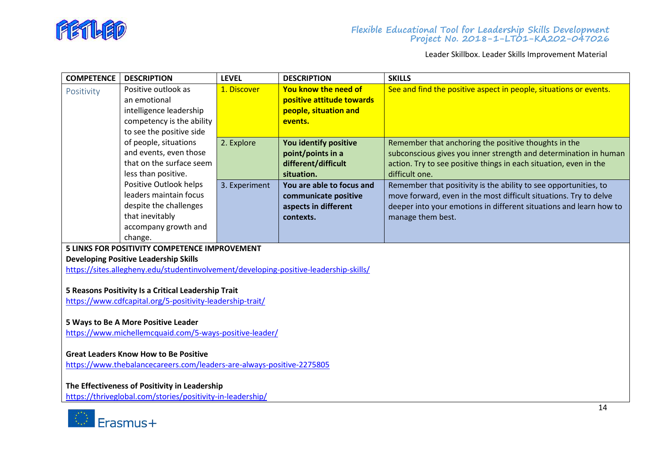

<span id="page-24-0"></span>

| <b>COMPETENCE</b>                                                                                           | <b>DESCRIPTION</b>                                                                    | <b>LEVEL</b>  | <b>DESCRIPTION</b>        | <b>SKILLS</b>                                                      |  |  |
|-------------------------------------------------------------------------------------------------------------|---------------------------------------------------------------------------------------|---------------|---------------------------|--------------------------------------------------------------------|--|--|
| Positivity                                                                                                  | Positive outlook as                                                                   | 1. Discover   | You know the need of      | See and find the positive aspect in people, situations or events.  |  |  |
|                                                                                                             | an emotional                                                                          |               | positive attitude towards |                                                                    |  |  |
|                                                                                                             | intelligence leadership                                                               |               | people, situation and     |                                                                    |  |  |
|                                                                                                             | competency is the ability                                                             |               | events.                   |                                                                    |  |  |
|                                                                                                             | to see the positive side                                                              |               |                           |                                                                    |  |  |
|                                                                                                             | of people, situations                                                                 | 2. Explore    | You identify positive     | Remember that anchoring the positive thoughts in the               |  |  |
|                                                                                                             | and events, even those                                                                |               | point/points in a         | subconscious gives you inner strength and determination in human   |  |  |
|                                                                                                             | that on the surface seem                                                              |               | different/difficult       | action. Try to see positive things in each situation, even in the  |  |  |
|                                                                                                             | less than positive.                                                                   |               | situation.                | difficult one.                                                     |  |  |
|                                                                                                             | Positive Outlook helps                                                                | 3. Experiment | You are able to focus and | Remember that positivity is the ability to see opportunities, to   |  |  |
|                                                                                                             | leaders maintain focus                                                                |               | communicate positive      | move forward, even in the most difficult situations. Try to delve  |  |  |
|                                                                                                             | despite the challenges                                                                |               | aspects in different      | deeper into your emotions in different situations and learn how to |  |  |
|                                                                                                             | that inevitably                                                                       |               | contexts.                 | manage them best.                                                  |  |  |
|                                                                                                             | accompany growth and                                                                  |               |                           |                                                                    |  |  |
|                                                                                                             | change.                                                                               |               |                           |                                                                    |  |  |
|                                                                                                             | 5 LINKS FOR POSITIVITY COMPETENCE IMPROVEMENT                                         |               |                           |                                                                    |  |  |
|                                                                                                             | <b>Developing Positive Leadership Skills</b>                                          |               |                           |                                                                    |  |  |
|                                                                                                             | https://sites.allegheny.edu/studentinvolvement/developing-positive-leadership-skills/ |               |                           |                                                                    |  |  |
|                                                                                                             |                                                                                       |               |                           |                                                                    |  |  |
|                                                                                                             | 5 Reasons Positivity Is a Critical Leadership Trait                                   |               |                           |                                                                    |  |  |
|                                                                                                             | https://www.cdfcapital.org/5-positivity-leadership-trait/                             |               |                           |                                                                    |  |  |
|                                                                                                             |                                                                                       |               |                           |                                                                    |  |  |
|                                                                                                             | 5 Ways to Be A More Positive Leader                                                   |               |                           |                                                                    |  |  |
| https://www.michellemcquaid.com/5-ways-positive-leader/                                                     |                                                                                       |               |                           |                                                                    |  |  |
|                                                                                                             |                                                                                       |               |                           |                                                                    |  |  |
| <b>Great Leaders Know How to Be Positive</b>                                                                |                                                                                       |               |                           |                                                                    |  |  |
| https://www.thebalancecareers.com/leaders-are-always-positive-2275805                                       |                                                                                       |               |                           |                                                                    |  |  |
|                                                                                                             |                                                                                       |               |                           |                                                                    |  |  |
| The Effectiveness of Positivity in Leadership<br>https://thriveglobal.com/stories/positivity-in-leadership/ |                                                                                       |               |                           |                                                                    |  |  |
|                                                                                                             |                                                                                       |               |                           |                                                                    |  |  |
|                                                                                                             |                                                                                       |               |                           | 14                                                                 |  |  |

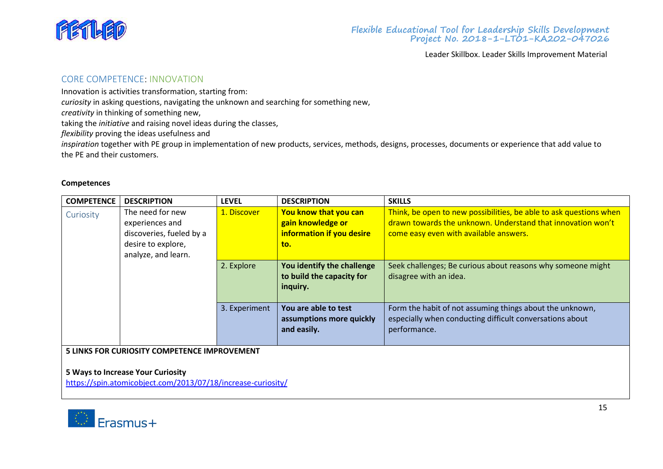

# <span id="page-25-0"></span>CORE COMPETENCE: INNOVATION

Innovation is activities transformation, starting from:

*curiosity* in asking questions, navigating the unknown and searching for something new,

*creativity* in thinking of something new,

taking the *initiative* and raising novel ideas during the classes,

*flexibility* proving the ideas usefulness and

*inspiration* together with PE group in implementation of new products, services, methods, designs, processes, documents or experience that add value to the PE and their customers.

#### **Competences**

<span id="page-25-1"></span>

| <b>COMPETENCE</b> | <b>DESCRIPTION</b>                                                                                           | <b>LEVEL</b>  | <b>DESCRIPTION</b>                                                             | <b>SKILLS</b>                                                                                                                                                               |
|-------------------|--------------------------------------------------------------------------------------------------------------|---------------|--------------------------------------------------------------------------------|-----------------------------------------------------------------------------------------------------------------------------------------------------------------------------|
| Curiosity         | The need for new<br>experiences and<br>discoveries, fueled by a<br>desire to explore,<br>analyze, and learn. | 1. Discover   | You know that you can<br>gain knowledge or<br>information if you desire<br>to. | Think, be open to new possibilities, be able to ask questions when<br>drawn towards the unknown. Understand that innovation won't<br>come easy even with available answers. |
|                   |                                                                                                              | 2. Explore    | You identify the challenge<br>to build the capacity for<br>inquiry.            | Seek challenges; Be curious about reasons why someone might<br>disagree with an idea.                                                                                       |
|                   |                                                                                                              | 3. Experiment | You are able to test<br>assumptions more quickly<br>and easily.                | Form the habit of not assuming things about the unknown,<br>especially when conducting difficult conversations about<br>performance.                                        |
|                   | 5 LINKS FOR CURIOSITY COMPETENCE IMPROVEMENT                                                                 |               |                                                                                |                                                                                                                                                                             |

**5 Ways to Increase Your Curiosity**

<https://spin.atomicobject.com/2013/07/18/increase-curiosity/>

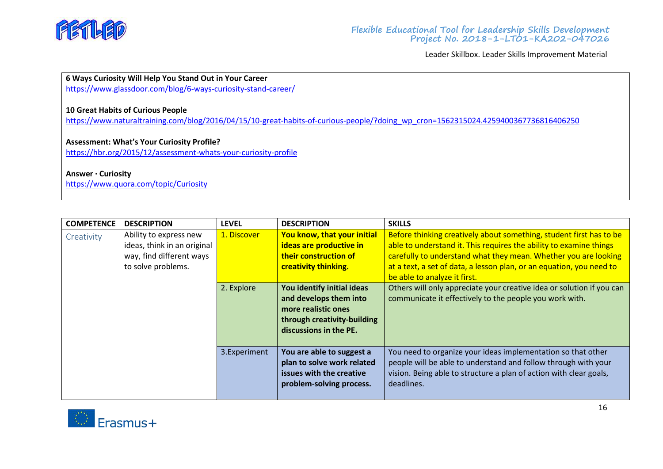

# **6 Ways Curiosity Will Help You Stand Out in Your Career**

<https://www.glassdoor.com/blog/6-ways-curiosity-stand-career/>

# **10 Great Habits of Curious People**

[https://www.naturaltraining.com/blog/2016/04/15/10-great-habits-of-curious-people/?doing\\_wp\\_cron=1562315024.4259400367736816406250](https://www.naturaltraining.com/blog/2016/04/15/10-great-habits-of-curious-people/?doing_wp_cron=1562315024.4259400367736816406250)

## **Assessment: What's Your Curiosity Profile?**

<https://hbr.org/2015/12/assessment-whats-your-curiosity-profile>

#### **Answer · [Curiosity](https://www.quora.com/topic/Curiosity)**

<https://www.quora.com/topic/Curiosity>

<span id="page-26-0"></span>

| <b>COMPETENCE</b> | <b>DESCRIPTION</b>                                                                                      | <b>LEVEL</b> | <b>DESCRIPTION</b>                                                                                                                   | <b>SKILLS</b>                                                                                                                                                                                                                                                                                                        |
|-------------------|---------------------------------------------------------------------------------------------------------|--------------|--------------------------------------------------------------------------------------------------------------------------------------|----------------------------------------------------------------------------------------------------------------------------------------------------------------------------------------------------------------------------------------------------------------------------------------------------------------------|
| Creativity        | Ability to express new<br>ideas, think in an original<br>way, find different ways<br>to solve problems. | 1. Discover  | You know, that your initial<br>ideas are productive in<br>their construction of<br>creativity thinking.                              | Before thinking creatively about something, student first has to be<br>able to understand it. This requires the ability to examine things<br>carefully to understand what they mean. Whether you are looking<br>at a text, a set of data, a lesson plan, or an equation, you need to<br>be able to analyze it first. |
|                   |                                                                                                         | 2. Explore   | You identify initial ideas<br>and develops them into<br>more realistic ones<br>through creativity-building<br>discussions in the PE. | Others will only appreciate your creative idea or solution if you can<br>communicate it effectively to the people you work with.                                                                                                                                                                                     |
|                   |                                                                                                         | 3.Experiment | You are able to suggest a<br>plan to solve work related<br>issues with the creative<br>problem-solving process.                      | You need to organize your ideas implementation so that other<br>people will be able to understand and follow through with your<br>vision. Being able to structure a plan of action with clear goals,<br>deadlines.                                                                                                   |

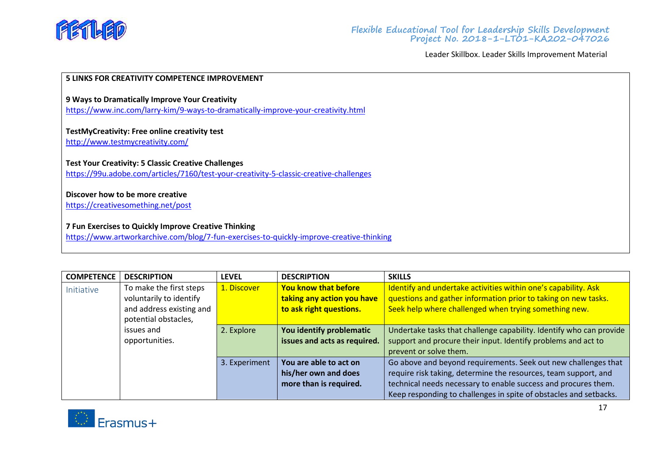

#### **5 LINKS FOR CREATIVITY COMPETENCE IMPROVEMENT**

**9 Ways to Dramatically Improve Your Creativity**

<https://www.inc.com/larry-kim/9-ways-to-dramatically-improve-your-creativity.html>

# **[TestMyCreativity: Free online creativity test](http://www.testmycreativity.com/)**

<http://www.testmycreativity.com/>

# **Test Your Creativity: 5 Classic Creative Challenges**

<https://99u.adobe.com/articles/7160/test-your-creativity-5-classic-creative-challenges>

# **Discover how to be more creative**

<https://creativesomething.net/post>

# **7 Fun Exercises to Quickly Improve Creative Thinking**

<https://www.artworkarchive.com/blog/7-fun-exercises-to-quickly-improve-creative-thinking>

<span id="page-27-0"></span>

| <b>COMPETENCE</b> | <b>DESCRIPTION</b>       | <b>LEVEL</b>  | <b>DESCRIPTION</b>           | <b>SKILLS</b>                                                       |
|-------------------|--------------------------|---------------|------------------------------|---------------------------------------------------------------------|
| Initiative        | To make the first steps  | 1. Discover   | <b>You know that before</b>  | Identify and undertake activities within one's capability. Ask      |
|                   | voluntarily to identify  |               | taking any action you have   | questions and gather information prior to taking on new tasks.      |
|                   | and address existing and |               | to ask right questions.      | Seek help where challenged when trying something new.               |
|                   | potential obstacles,     |               |                              |                                                                     |
|                   | issues and               | 2. Explore    | You identify problematic     | Undertake tasks that challenge capability. Identify who can provide |
|                   | opportunities.           |               | issues and acts as required. | support and procure their input. Identify problems and act to       |
|                   |                          |               |                              | prevent or solve them.                                              |
|                   |                          | 3. Experiment | You are able to act on       | Go above and beyond requirements. Seek out new challenges that      |
|                   |                          |               | his/her own and does         | require risk taking, determine the resources, team support, and     |
|                   |                          |               | more than is required.       | technical needs necessary to enable success and procures them.      |
|                   |                          |               |                              | Keep responding to challenges in spite of obstacles and setbacks.   |

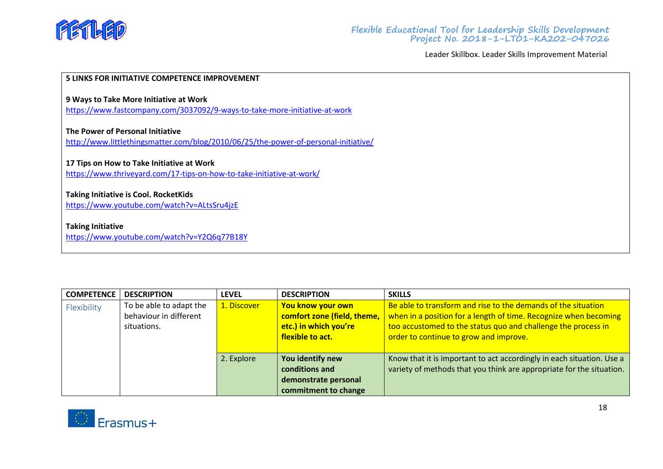

#### **5 LINKS FOR INITIATIVE COMPETENCE IMPROVEMENT**

#### **[9 Ways to Take More Initiative at](https://www.fastcompany.com/3037092/9-ways-to-take-more-initiative-at-work) Work**

<https://www.fastcompany.com/3037092/9-ways-to-take-more-initiative-at-work>

#### **The Power of Personal Initiative**

<http://www.littlethingsmatter.com/blog/2010/06/25/the-power-of-personal-initiative/>

#### **17 Tips on How to Take Initiative at Work**

<https://www.thriveyard.com/17-tips-on-how-to-take-initiative-at-work/>

#### **Taking Initiative is Cool. RocketKids**

<https://www.youtube.com/watch?v=ALtsSru4jzE>

# **Taking Initiative**

<https://www.youtube.com/watch?v=Y2Q6q77B18Y>

<span id="page-28-0"></span>

| <b>COMPETENCE</b> | <b>DESCRIPTION</b>      | <b>LEVEL</b> | <b>DESCRIPTION</b>          | <b>SKILLS</b>                                                         |
|-------------------|-------------------------|--------------|-----------------------------|-----------------------------------------------------------------------|
| Flexibility       | To be able to adapt the | 1. Discover  | You know your own           | Be able to transform and rise to the demands of the situation         |
|                   | behaviour in different  |              | comfort zone (field, theme, | when in a position for a length of time. Recognize when becoming      |
|                   | situations.             |              | etc.) in which you're       | too accustomed to the status quo and challenge the process in         |
|                   |                         |              | flexible to act.            | order to continue to grow and improve.                                |
|                   |                         |              |                             |                                                                       |
|                   |                         | 2. Explore   | You identify new            | Know that it is important to act accordingly in each situation. Use a |
|                   |                         |              | conditions and              | variety of methods that you think are appropriate for the situation.  |
|                   |                         |              | demonstrate personal        |                                                                       |
|                   |                         |              | commitment to change        |                                                                       |

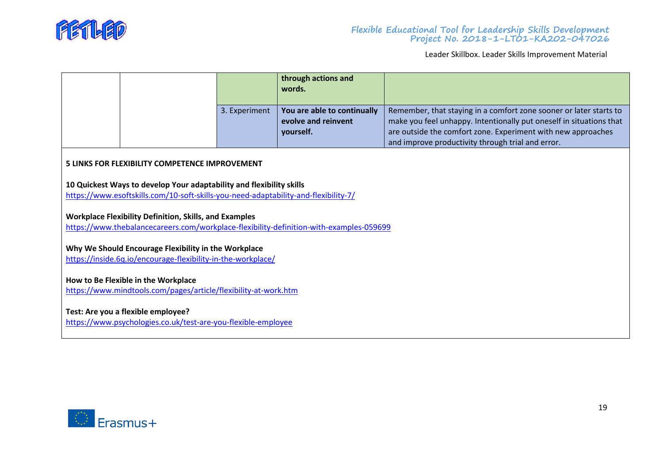

|                                                                                                                      |                                                                                                                                                             |               | through actions and<br>words.                                                           |                                                                                                                                                                                                                                                                |
|----------------------------------------------------------------------------------------------------------------------|-------------------------------------------------------------------------------------------------------------------------------------------------------------|---------------|-----------------------------------------------------------------------------------------|----------------------------------------------------------------------------------------------------------------------------------------------------------------------------------------------------------------------------------------------------------------|
|                                                                                                                      |                                                                                                                                                             | 3. Experiment | You are able to continually<br>evolve and reinvent<br>yourself.                         | Remember, that staying in a comfort zone sooner or later starts to<br>make you feel unhappy. Intentionally put oneself in situations that<br>are outside the comfort zone. Experiment with new approaches<br>and improve productivity through trial and error. |
|                                                                                                                      | 5 LINKS FOR FLEXIBILITY COMPETENCE IMPROVEMENT                                                                                                              |               |                                                                                         |                                                                                                                                                                                                                                                                |
|                                                                                                                      | 10 Quickest Ways to develop Your adaptability and flexibility skills<br>https://www.esoftskills.com/10-soft-skills-you-need-adaptability-and-flexibility-7/ |               |                                                                                         |                                                                                                                                                                                                                                                                |
|                                                                                                                      | <b>Workplace Flexibility Definition, Skills, and Examples</b>                                                                                               |               | https://www.thebalancecareers.com/workplace-flexibility-definition-with-examples-059699 |                                                                                                                                                                                                                                                                |
| Why We Should Encourage Flexibility in the Workplace<br>https://inside.6q.io/encourage-flexibility-in-the-workplace/ |                                                                                                                                                             |               |                                                                                         |                                                                                                                                                                                                                                                                |
| How to Be Flexible in the Workplace<br>https://www.mindtools.com/pages/article/flexibility-at-work.htm               |                                                                                                                                                             |               |                                                                                         |                                                                                                                                                                                                                                                                |
| Test: Are you a flexible employee?<br>https://www.psychologies.co.uk/test-are-you-flexible-employee                  |                                                                                                                                                             |               |                                                                                         |                                                                                                                                                                                                                                                                |

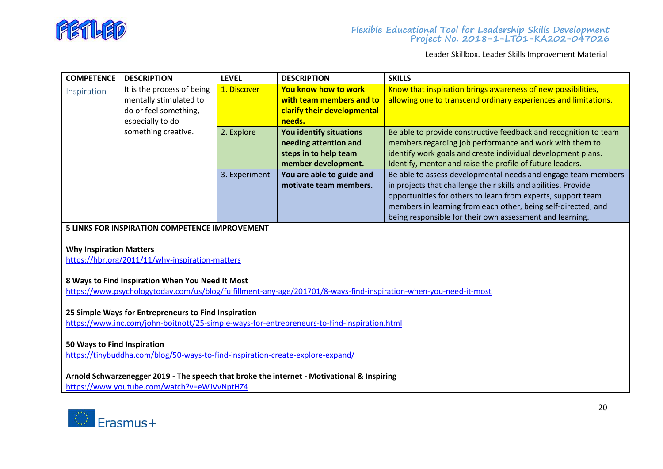

<span id="page-30-0"></span>

| <b>COMPETENCE</b> | <b>DESCRIPTION</b>         | <b>LEVEL</b>  | <b>DESCRIPTION</b>          | <b>SKILLS</b>                                                    |
|-------------------|----------------------------|---------------|-----------------------------|------------------------------------------------------------------|
| Inspiration       | It is the process of being | 1. Discover   | You know how to work        | Know that inspiration brings awareness of new possibilities,     |
|                   | mentally stimulated to     |               | with team members and to    | allowing one to transcend ordinary experiences and limitations.  |
|                   | do or feel something,      |               | clarify their developmental |                                                                  |
|                   | especially to do           |               | needs.                      |                                                                  |
|                   | something creative.        | 2. Explore    | You identify situations     | Be able to provide constructive feedback and recognition to team |
|                   |                            |               | needing attention and       | members regarding job performance and work with them to          |
|                   |                            |               | steps in to help team       | identify work goals and create individual development plans.     |
|                   |                            |               | member development.         | Identify, mentor and raise the profile of future leaders.        |
|                   |                            | 3. Experiment | You are able to guide and   | Be able to assess developmental needs and engage team members    |
|                   |                            |               | motivate team members.      | in projects that challenge their skills and abilities. Provide   |
|                   |                            |               |                             | opportunities for others to learn from experts, support team     |
|                   |                            |               |                             | members in learning from each other, being self-directed, and    |
|                   |                            |               |                             | being responsible for their own assessment and learning.         |

**5 LINKS FOR INSPIRATION COMPETENCE IMPROVEMENT**

#### **Why Inspiration Matters**

<https://hbr.org/2011/11/why-inspiration-matters>

# **8 Ways to Find Inspiration When You Need It Most**

<https://www.psychologytoday.com/us/blog/fulfillment-any-age/201701/8-ways-find-inspiration-when-you-need-it-most>

# **25 Simple Ways for Entrepreneurs to Find Inspiration**

<https://www.inc.com/john-boitnott/25-simple-ways-for-entrepreneurs-to-find-inspiration.html>

# **50 Ways to Find Inspiration**

<https://tinybuddha.com/blog/50-ways-to-find-inspiration-create-explore-expand/>

# **Arnold Schwarzenegger 2019 - The speech that broke the internet - Motivational & Inspiring**

<https://www.youtube.com/watch?v=eWJVvNptHZ4>

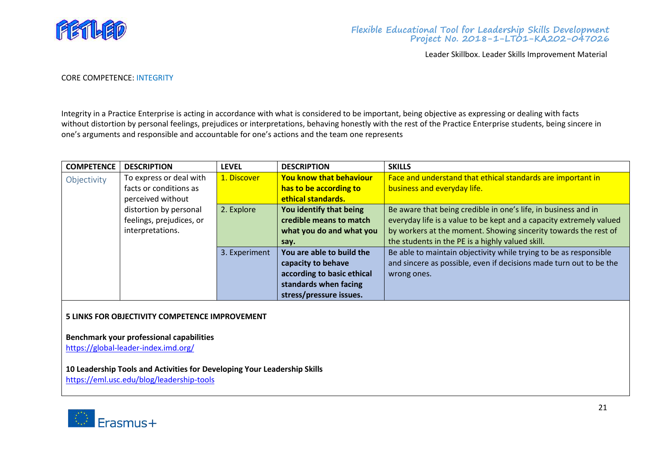

#### CORE COMPETENCE: INTEGRITY

Integrity in a Practice Enterprise is acting in accordance with what is considered to be important, being objective as expressing or dealing with facts without distortion by personal feelings, prejudices or interpretations, behaving honestly with the rest of the Practice Enterprise students, being sincere in one's arguments and responsible and accountable for one's actions and the team one represents

<span id="page-31-0"></span>

| <b>COMPETENCE</b> | <b>DESCRIPTION</b>       | <b>LEVEL</b>  | <b>DESCRIPTION</b>             | <b>SKILLS</b>                                                       |
|-------------------|--------------------------|---------------|--------------------------------|---------------------------------------------------------------------|
| Objectivity       | To express or deal with  | 1. Discover   | <b>You know that behaviour</b> | Face and understand that ethical standards are important in         |
|                   | facts or conditions as   |               | has to be according to         | business and everyday life.                                         |
|                   | perceived without        |               | ethical standards.             |                                                                     |
|                   | distortion by personal   | 2. Explore    | You identify that being        | Be aware that being credible in one's life, in business and in      |
|                   | feelings, prejudices, or |               | credible means to match        | everyday life is a value to be kept and a capacity extremely valued |
|                   | interpretations.         |               | what you do and what you       | by workers at the moment. Showing sincerity towards the rest of     |
|                   |                          |               | say.                           | the students in the PE is a highly valued skill.                    |
|                   |                          | 3. Experiment | You are able to build the      | Be able to maintain objectivity while trying to be as responsible   |
|                   |                          |               | capacity to behave             | and sincere as possible, even if decisions made turn out to be the  |
|                   |                          |               | according to basic ethical     | wrong ones.                                                         |
|                   |                          |               | standards when facing          |                                                                     |
|                   |                          |               | stress/pressure issues.        |                                                                     |

#### **5 LINKS FOR OBJECTIVITY COMPETENCE IMPROVEMENT**

**Benchmark your professional capabilities**

<https://global-leader-index.imd.org/>

# **10 Leadership Tools and Activities for Developing Your Leadership Skills**

<https://eml.usc.edu/blog/leadership-tools>

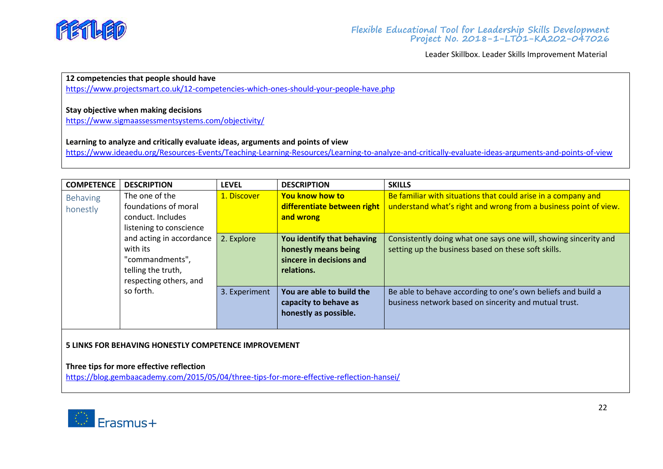

# **12 competencies that people should have**

<https://www.projectsmart.co.uk/12-competencies-which-ones-should-your-people-have.php>

# **Stay objective when making decisions**

<https://www.sigmaassessmentsystems.com/objectivity/>

## **Learning to analyze and critically evaluate ideas, arguments and points of view**

<https://www.ideaedu.org/Resources-Events/Teaching-Learning-Resources/Learning-to-analyze-and-critically-evaluate-ideas-arguments-and-points-of-view>

<span id="page-32-0"></span>

| <b>COMPETENCE</b> | <b>DESCRIPTION</b>       | <b>LEVEL</b>  | <b>DESCRIPTION</b>          | <b>SKILLS</b>                                                    |
|-------------------|--------------------------|---------------|-----------------------------|------------------------------------------------------------------|
| Behaving          | The one of the           | 1. Discover   | <b>You know how to</b>      | Be familiar with situations that could arise in a company and    |
| honestly          | foundations of moral     |               | differentiate between right | understand what's right and wrong from a business point of view. |
|                   | conduct. Includes        |               | and wrong                   |                                                                  |
|                   | listening to conscience  |               |                             |                                                                  |
|                   | and acting in accordance | 2. Explore    | You identify that behaving  | Consistently doing what one says one will, showing sincerity and |
|                   | with its                 |               | honestly means being        | setting up the business based on these soft skills.              |
|                   | "commandments",          |               | sincere in decisions and    |                                                                  |
|                   | telling the truth,       |               | relations.                  |                                                                  |
|                   | respecting others, and   |               |                             |                                                                  |
|                   | so forth.                | 3. Experiment | You are able to build the   | Be able to behave according to one's own beliefs and build a     |
|                   |                          |               | capacity to behave as       | business network based on sincerity and mutual trust.            |
|                   |                          |               | honestly as possible.       |                                                                  |
|                   |                          |               |                             |                                                                  |

## **5 LINKS FOR BEHAVING HONESTLY COMPETENCE IMPROVEMENT**

## **Three tips for more effective reflection**

<https://blog.gembaacademy.com/2015/05/04/three-tips-for-more-effective-reflection-hansei/>

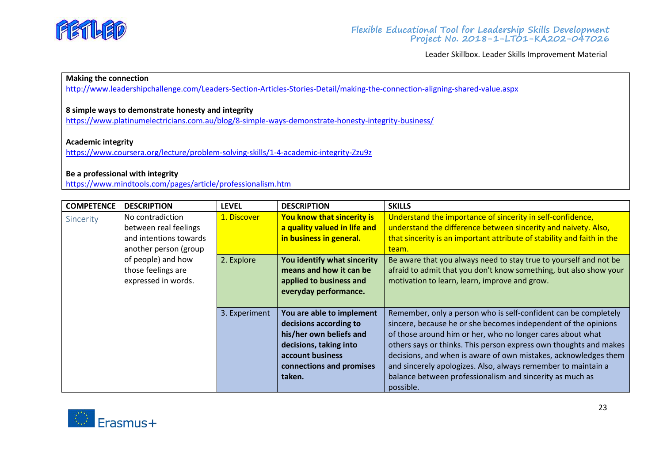

# **Making the connection**

<http://www.leadershipchallenge.com/Leaders-Section-Articles-Stories-Detail/making-the-connection-aligning-shared-value.aspx>

# **8 simple ways to demonstrate honesty and integrity**

<https://www.platinumelectricians.com.au/blog/8-simple-ways-demonstrate-honesty-integrity-business/>

#### **Academic integrity**

<https://www.coursera.org/lecture/problem-solving-skills/1-4-academic-integrity-Zzu9z>

#### **Be a professional with integrity**

<https://www.mindtools.com/pages/article/professionalism.htm>

<span id="page-33-0"></span>

| <b>COMPETENCE</b> | <b>DESCRIPTION</b>                                                                           | <b>LEVEL</b>  | <b>DESCRIPTION</b>                                                                                                                                                 | <b>SKILLS</b>                                                                                                                                                                                                                                                                                                                                                                                                                                                                     |
|-------------------|----------------------------------------------------------------------------------------------|---------------|--------------------------------------------------------------------------------------------------------------------------------------------------------------------|-----------------------------------------------------------------------------------------------------------------------------------------------------------------------------------------------------------------------------------------------------------------------------------------------------------------------------------------------------------------------------------------------------------------------------------------------------------------------------------|
| Sincerity         | No contradiction<br>between real feelings<br>and intentions towards<br>another person (group | 1. Discover   | You know that sincerity is<br>a quality valued in life and<br>in business in general.                                                                              | Understand the importance of sincerity in self-confidence,<br>understand the difference between sincerity and naivety. Also,<br>that sincerity is an important attribute of stability and faith in the<br>team.                                                                                                                                                                                                                                                                   |
|                   | of people) and how<br>those feelings are<br>expressed in words.                              | 2. Explore    | You identify what sincerity<br>means and how it can be<br>applied to business and<br>everyday performance.                                                         | Be aware that you always need to stay true to yourself and not be<br>afraid to admit that you don't know something, but also show your<br>motivation to learn, learn, improve and grow.                                                                                                                                                                                                                                                                                           |
|                   |                                                                                              | 3. Experiment | You are able to implement<br>decisions according to<br>his/her own beliefs and<br>decisions, taking into<br>account business<br>connections and promises<br>taken. | Remember, only a person who is self-confident can be completely<br>sincere, because he or she becomes independent of the opinions<br>of those around him or her, who no longer cares about what<br>others says or thinks. This person express own thoughts and makes<br>decisions, and when is aware of own mistakes, acknowledges them<br>and sincerely apologizes. Also, always remember to maintain a<br>balance between professionalism and sincerity as much as<br>possible. |

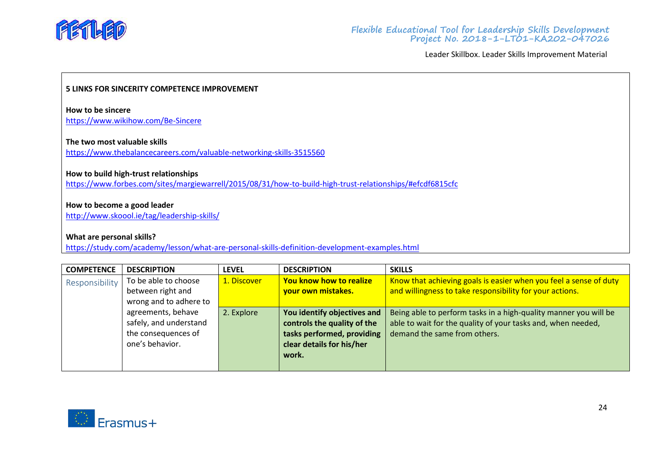

## **5 LINKS FOR SINCERITY COMPETENCE IMPROVEMENT**

**How to be sincere** <https://www.wikihow.com/Be-Sincere>

#### **The two most valuable skills**

<https://www.thebalancecareers.com/valuable-networking-skills-3515560>

#### **How to build high-trust relationships**

<https://www.forbes.com/sites/margiewarrell/2015/08/31/how-to-build-high-trust-relationships/#efcdf6815cfc>

## **How to become a good leader**

<http://www.skoool.ie/tag/leadership-skills/>

#### **What are personal skills?**

<https://study.com/academy/lesson/what-are-personal-skills-definition-development-examples.html>

<span id="page-34-0"></span>

| <b>COMPETENCE</b> | <b>DESCRIPTION</b>     | <b>LEVEL</b> | <b>DESCRIPTION</b>          | <b>SKILLS</b>                                                     |
|-------------------|------------------------|--------------|-----------------------------|-------------------------------------------------------------------|
| Responsibility    | To be able to choose   | 1. Discover  | You know how to realize     | Know that achieving goals is easier when you feel a sense of duty |
|                   | between right and      |              | your own mistakes.          | and willingness to take responsibility for your actions.          |
|                   | wrong and to adhere to |              |                             |                                                                   |
|                   | agreements, behave     | 2. Explore   | You identify objectives and | Being able to perform tasks in a high-quality manner you will be  |
|                   | safely, and understand |              | controls the quality of the | able to wait for the quality of your tasks and, when needed,      |
|                   | the consequences of    |              | tasks performed, providing  | demand the same from others.                                      |
|                   | one's behavior.        |              | clear details for his/her   |                                                                   |
|                   |                        |              | work.                       |                                                                   |
|                   |                        |              |                             |                                                                   |

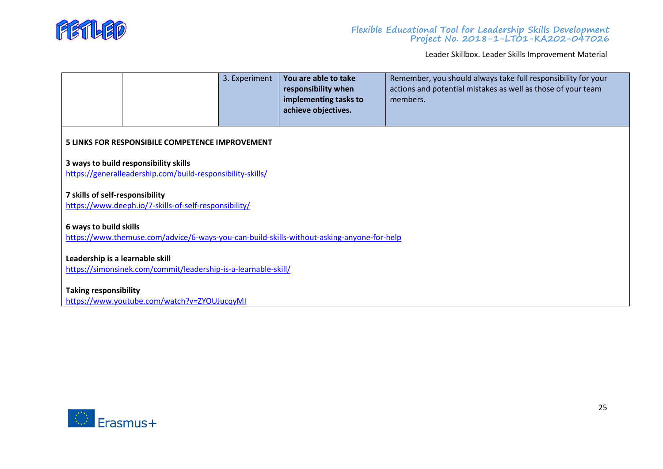

|                                                                                                                     |                                                                                                     | 3. Experiment | You are able to take<br>responsibility when<br>implementing tasks to<br>achieve objectives. | Remember, you should always take full responsibility for your<br>actions and potential mistakes as well as those of your team<br>members. |
|---------------------------------------------------------------------------------------------------------------------|-----------------------------------------------------------------------------------------------------|---------------|---------------------------------------------------------------------------------------------|-------------------------------------------------------------------------------------------------------------------------------------------|
|                                                                                                                     | <b>5 LINKS FOR RESPONSIBILE COMPETENCE IMPROVEMENT</b>                                              |               |                                                                                             |                                                                                                                                           |
|                                                                                                                     | 3 ways to build responsibility skills<br>https://generalleadership.com/build-responsibility-skills/ |               |                                                                                             |                                                                                                                                           |
| 7 skills of self-responsibility                                                                                     | https://www.deeph.io/7-skills-of-self-responsibility/                                               |               |                                                                                             |                                                                                                                                           |
| 6 ways to build skills<br>https://www.themuse.com/advice/6-ways-you-can-build-skills-without-asking-anyone-for-help |                                                                                                     |               |                                                                                             |                                                                                                                                           |
| Leadership is a learnable skill<br>https://simonsinek.com/commit/leadership-is-a-learnable-skill/                   |                                                                                                     |               |                                                                                             |                                                                                                                                           |
| <b>Taking responsibility</b><br>https://www.youtube.com/watch?v=ZYOUJucqyMI                                         |                                                                                                     |               |                                                                                             |                                                                                                                                           |